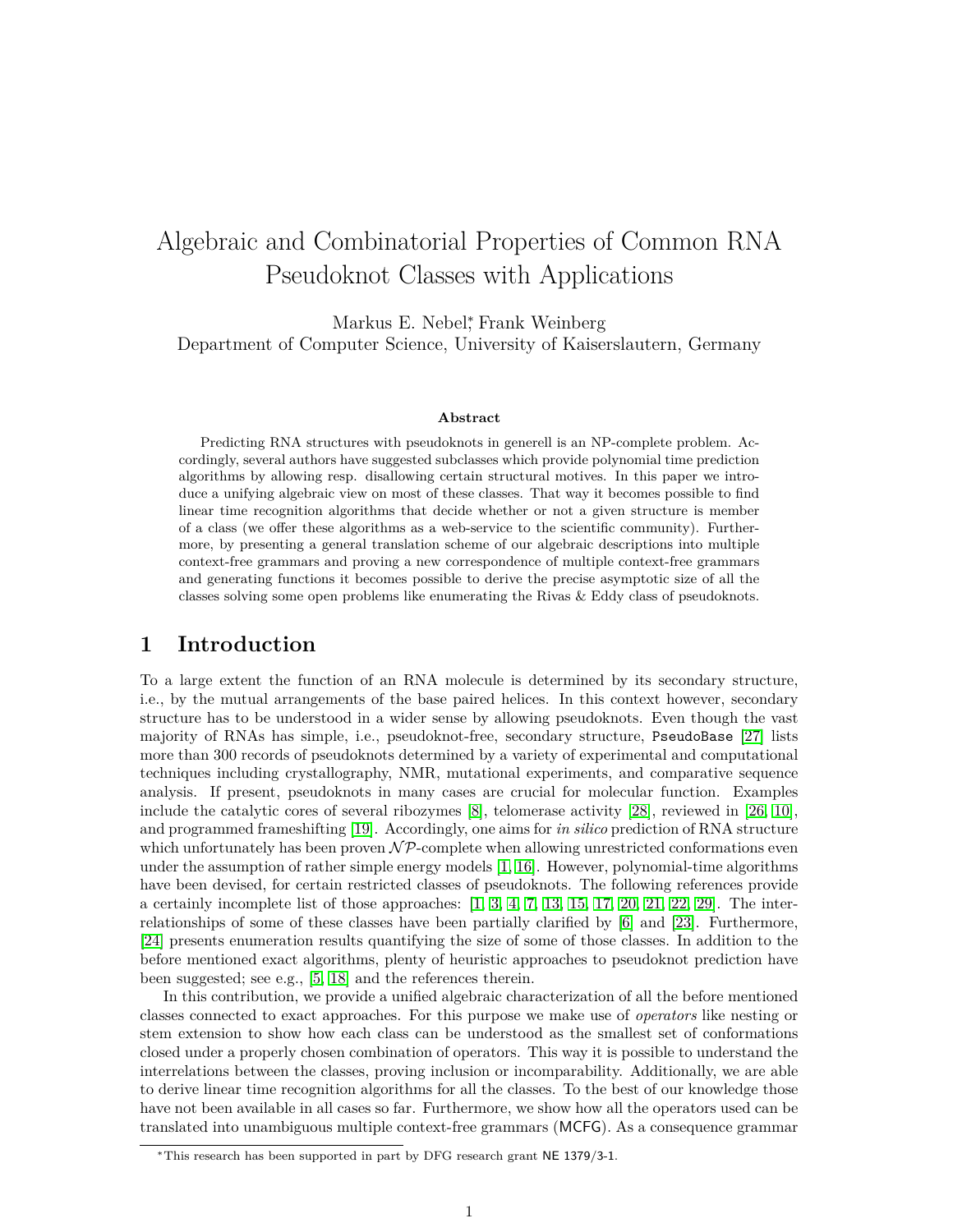# Algebraic and Combinatorial Properties of Common RNA Pseudoknot Classes with Applications

Markus E. Nebel<sup>\*</sup>, Frank Weinberg Department of Computer Science, University of Kaiserslautern, Germany

#### **Abstract**

Predicting RNA structures with pseudoknots in generell is an NP-complete problem. Accordingly, several authors have suggested subclasses which provide polynomial time prediction algorithms by allowing resp. disallowing certain structural motives. In this paper we introduce a unifying algebraic view on most of these classes. That way it becomes possible to find linear time recognition algorithms that decide whether or not a given structure is member of a class (we offer these algorithms as a web-service to the scientific community). Furthermore, by presenting a general translation scheme of our algebraic descriptions into multiple context-free grammars and proving a new correspondence of multiple context-free grammars and generating functions it becomes possible to derive the precise asymptotic size of all the classes solving some open problems like enumerating the Rivas & Eddy class of pseudoknots.

# **1 Introduction**

To a large extent the function of an RNA molecule is determined by its secondary structure, i.e., by the mutual arrangements of the base paired helices. In this context however, secondary structure has to be understood in a wider sense by allowing pseudoknots. Even though the vast majority of RNAs has simple, i.e., pseudoknot-free, secondary structure, PseudoBase [\[27\]](#page-22-0) lists more than 300 records of pseudoknots determined by a variety of experimental and computational techniques including crystallography, NMR, mutational experiments, and comparative sequence analysis. If present, pseudoknots in many cases are crucial for molecular function. Examples include the catalytic cores of several ribozymes [\[8\]](#page-21-0), telomerase activity [\[28\]](#page-22-1), reviewed in [\[26,](#page-22-2) [10\]](#page-21-1), and programmed frameshifting [\[19\]](#page-22-3). Accordingly, one aims for *in silico* prediction of RNA structure which unfortunately has been proven  $\mathcal{NP}$ -complete when allowing unrestricted conformations even under the assumption of rather simple energy models [\[1,](#page-21-2) [16\]](#page-21-3). However, polynomial-time algorithms have been devised, for certain restricted classes of pseudoknots. The following references provide a certainly incomplete list of those approaches:  $[1, 3, 4, 7, 13, 15, 17, 20, 21, 22, 29]$  $[1, 3, 4, 7, 13, 15, 17, 20, 21, 22, 29]$  $[1, 3, 4, 7, 13, 15, 17, 20, 21, 22, 29]$  $[1, 3, 4, 7, 13, 15, 17, 20, 21, 22, 29]$  $[1, 3, 4, 7, 13, 15, 17, 20, 21, 22, 29]$  $[1, 3, 4, 7, 13, 15, 17, 20, 21, 22, 29]$  $[1, 3, 4, 7, 13, 15, 17, 20, 21, 22, 29]$  $[1, 3, 4, 7, 13, 15, 17, 20, 21, 22, 29]$  $[1, 3, 4, 7, 13, 15, 17, 20, 21, 22, 29]$  $[1, 3, 4, 7, 13, 15, 17, 20, 21, 22, 29]$  $[1, 3, 4, 7, 13, 15, 17, 20, 21, 22, 29]$ . The interrelationships of some of these classes have been partially clarified by [\[6\]](#page-21-10) and [\[23\]](#page-22-8). Furthermore, [\[24\]](#page-22-9) presents enumeration results quantifying the size of some of those classes. In addition to the before mentioned exact algorithms, plenty of heuristic approaches to pseudoknot prediction have been suggested; see e.g., [\[5,](#page-21-11) [18\]](#page-21-12) and the references therein.

In this contribution, we provide a unified algebraic characterization of all the before mentioned classes connected to exact approaches. For this purpose we make use of *operators* like nesting or stem extension to show how each class can be understood as the smallest set of conformations closed under a properly chosen combination of operators. This way it is possible to understand the interrelations between the classes, proving inclusion or incomparability. Additionally, we are able to derive linear time recognition algorithms for all the classes. To the best of our knowledge those have not been available in all cases so far. Furthermore, we show how all the operators used can be translated into unambiguous multiple context-free grammars (MCFG). As a consequence grammar

<sup>∗</sup>This research has been supported in part by DFG research grant NE 1379/3-1.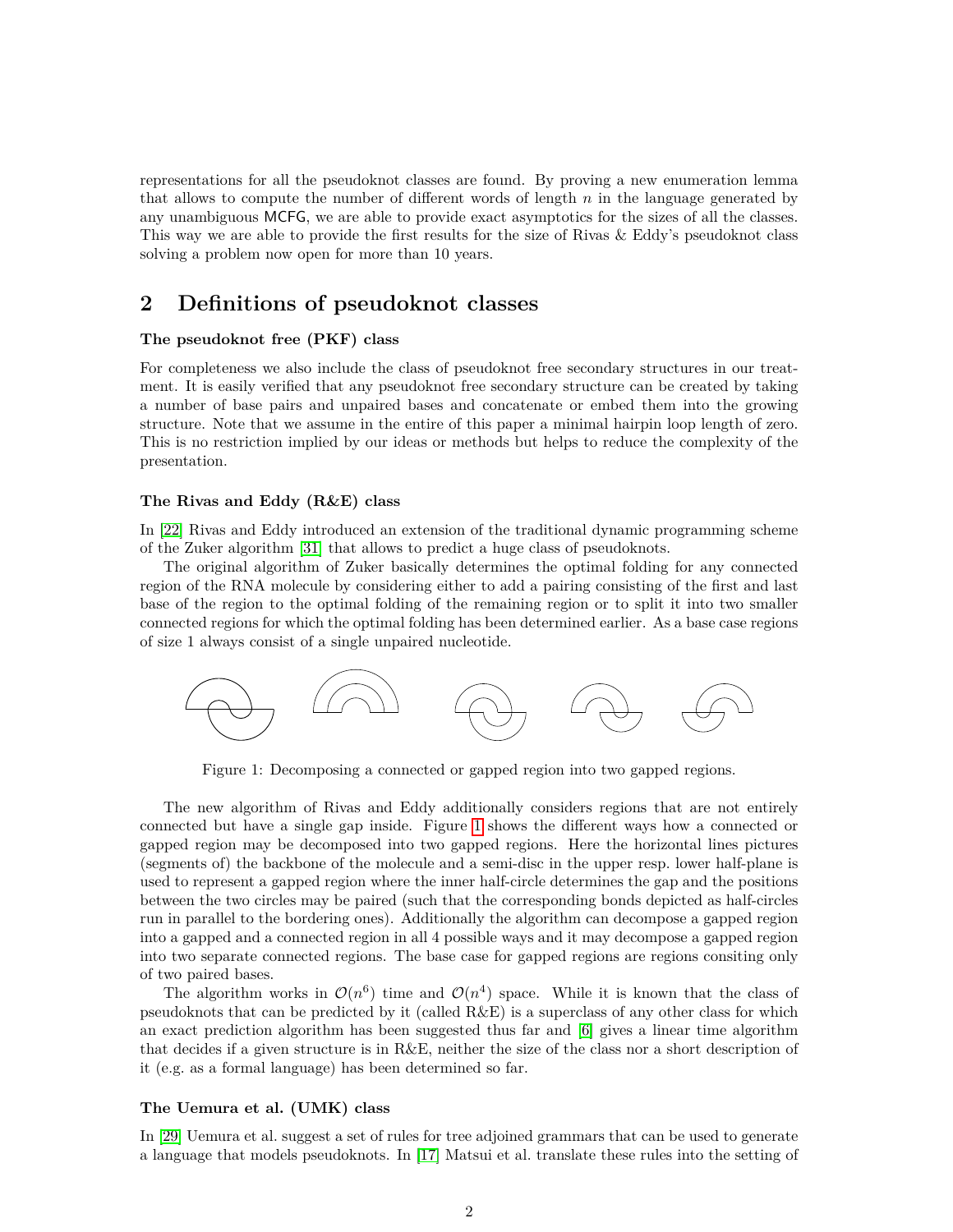representations for all the pseudoknot classes are found. By proving a new enumeration lemma that allows to compute the number of different words of length *n* in the language generated by any unambiguous MCFG, we are able to provide exact asymptotics for the sizes of all the classes. This way we are able to provide the first results for the size of Rivas & Eddy's pseudoknot class solving a problem now open for more than 10 years.

# <span id="page-1-1"></span>**2 Definitions of pseudoknot classes**

#### **The pseudoknot free (PKF) class**

For completeness we also include the class of pseudoknot free secondary structures in our treatment. It is easily verified that any pseudoknot free secondary structure can be created by taking a number of base pairs and unpaired bases and concatenate or embed them into the growing structure. Note that we assume in the entire of this paper a minimal hairpin loop length of zero. This is no restriction implied by our ideas or methods but helps to reduce the complexity of the presentation.

### **The Rivas and Eddy (R&E) class**

In [\[22\]](#page-22-6) Rivas and Eddy introduced an extension of the traditional dynamic programming scheme of the Zuker algorithm [\[31\]](#page-22-10) that allows to predict a huge class of pseudoknots.

The original algorithm of Zuker basically determines the optimal folding for any connected region of the RNA molecule by considering either to add a pairing consisting of the first and last base of the region to the optimal folding of the remaining region or to split it into two smaller connected regions for which the optimal folding has been determined earlier. As a base case regions of size 1 always consist of a single unpaired nucleotide.



<span id="page-1-0"></span>Figure 1: Decomposing a connected or gapped region into two gapped regions.

The new algorithm of Rivas and Eddy additionally considers regions that are not entirely connected but have a single gap inside. Figure [1](#page-1-0) shows the different ways how a connected or gapped region may be decomposed into two gapped regions. Here the horizontal lines pictures (segments of) the backbone of the molecule and a semi-disc in the upper resp. lower half-plane is used to represent a gapped region where the inner half-circle determines the gap and the positions between the two circles may be paired (such that the corresponding bonds depicted as half-circles run in parallel to the bordering ones). Additionally the algorithm can decompose a gapped region into a gapped and a connected region in all 4 possible ways and it may decompose a gapped region into two separate connected regions. The base case for gapped regions are regions consiting only of two paired bases.

The algorithm works in  $\mathcal{O}(n^6)$  time and  $\mathcal{O}(n^4)$  space. While it is known that the class of pseudoknots that can be predicted by it (called R&E) is a superclass of any other class for which an exact prediction algorithm has been suggested thus far and [\[6\]](#page-21-10) gives a linear time algorithm that decides if a given structure is in R&E, neither the size of the class nor a short description of it (e.g. as a formal language) has been determined so far.

#### **The Uemura et al. (UMK) class**

In [\[29\]](#page-22-7) Uemura et al. suggest a set of rules for tree adjoined grammars that can be used to generate a language that models pseudoknots. In [\[17\]](#page-21-9) Matsui et al. translate these rules into the setting of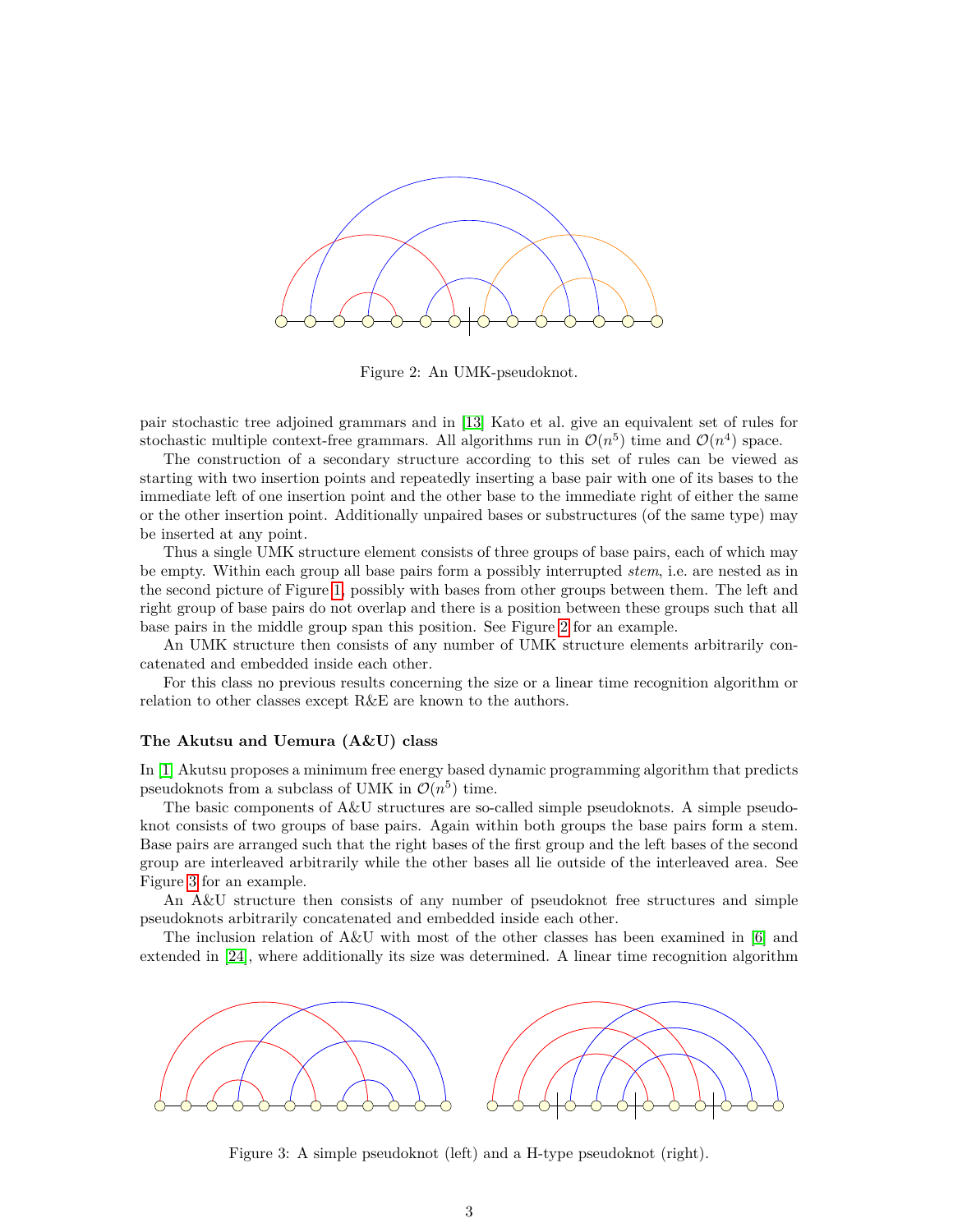<span id="page-2-0"></span>

Figure 2: An UMK-pseudoknot.

pair stochastic tree adjoined grammars and in [\[13\]](#page-21-7) Kato et al. give an equivalent set of rules for stochastic multiple context-free grammars. All algorithms run in  $\mathcal{O}(n^5)$  time and  $\mathcal{O}(n^4)$  space.

The construction of a secondary structure according to this set of rules can be viewed as starting with two insertion points and repeatedly inserting a base pair with one of its bases to the immediate left of one insertion point and the other base to the immediate right of either the same or the other insertion point. Additionally unpaired bases or substructures (of the same type) may be inserted at any point.

Thus a single UMK structure element consists of three groups of base pairs, each of which may be empty. Within each group all base pairs form a possibly interrupted *stem*, i.e. are nested as in the second picture of Figure [1,](#page-1-0) possibly with bases from other groups between them. The left and right group of base pairs do not overlap and there is a position between these groups such that all base pairs in the middle group span this position. See Figure [2](#page-2-0) for an example.

An UMK structure then consists of any number of UMK structure elements arbitrarily concatenated and embedded inside each other.

For this class no previous results concerning the size or a linear time recognition algorithm or relation to other classes except R&E are known to the authors.

#### **The Akutsu and Uemura (A&U) class**

In [\[1\]](#page-21-2) Akutsu proposes a minimum free energy based dynamic programming algorithm that predicts pseudoknots from a subclass of UMK in  $\mathcal{O}(n^5)$  time.

The basic components of A&U structures are so-called simple pseudoknots. A simple pseudoknot consists of two groups of base pairs. Again within both groups the base pairs form a stem. Base pairs are arranged such that the right bases of the first group and the left bases of the second group are interleaved arbitrarily while the other bases all lie outside of the interleaved area. See Figure [3](#page-2-1) for an example.

An A&U structure then consists of any number of pseudoknot free structures and simple pseudoknots arbitrarily concatenated and embedded inside each other.

The inclusion relation of A&U with most of the other classes has been examined in [\[6\]](#page-21-10) and extended in [\[24\]](#page-22-9), where additionally its size was determined. A linear time recognition algorithm



<span id="page-2-1"></span>Figure 3: A simple pseudoknot (left) and a H-type pseudoknot (right).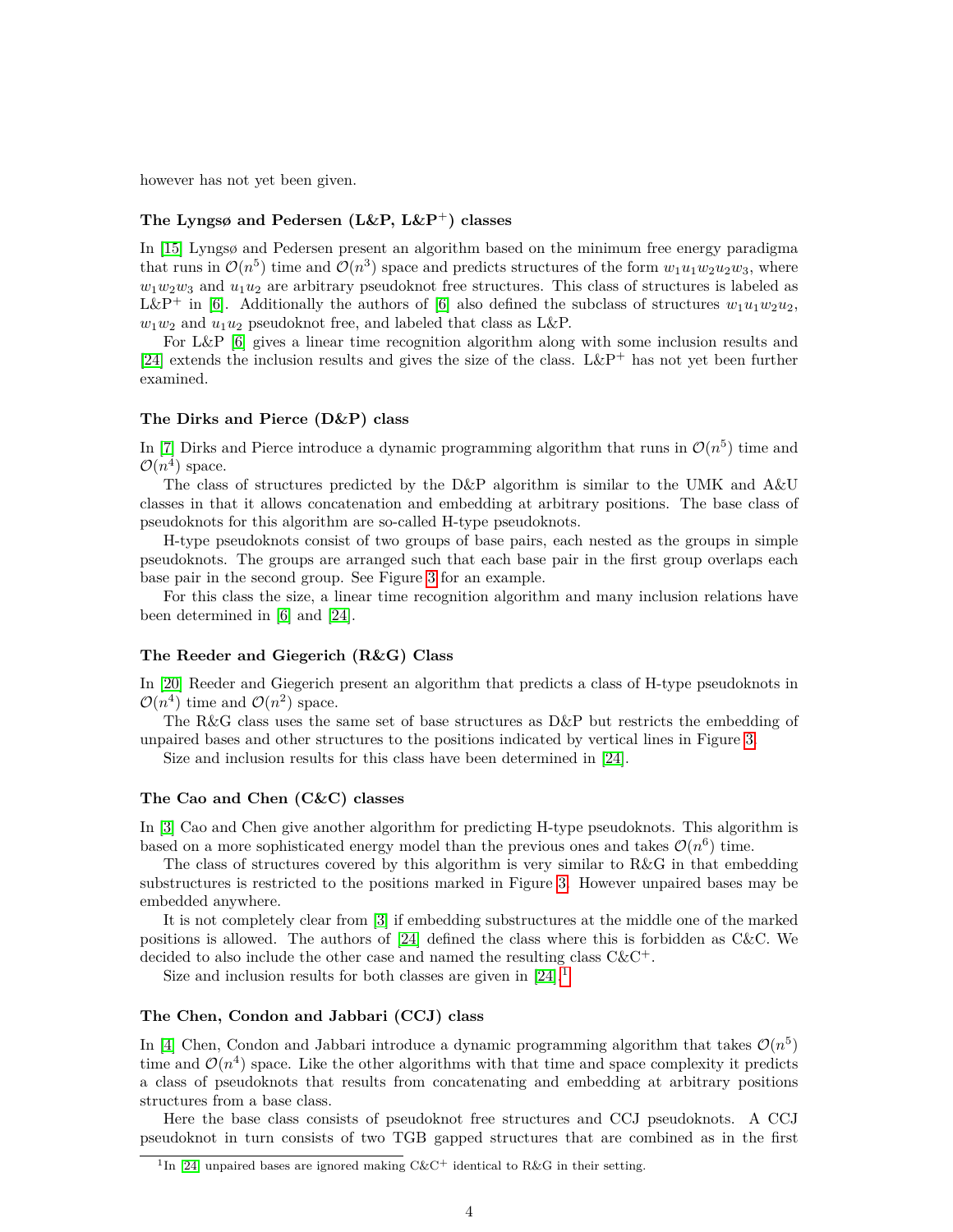however has not yet been given.

## **The Lyngsø and Pedersen (L&P, L&P**<sup>+</sup>**) classes**

In [\[15\]](#page-21-8) Lyngsø and Pedersen present an algorithm based on the minimum free energy paradigma that runs in  $\mathcal{O}(n^5)$  time and  $\mathcal{O}(n^3)$  space and predicts structures of the form  $w_1u_1w_2u_2w_3$ , where  $w_1w_2w_3$  and  $u_1u_2$  are arbitrary pseudoknot free structures. This class of structures is labeled as L&P<sup>+</sup> in [\[6\]](#page-21-10). Additionally the authors of [6] also defined the subclass of structures  $w_1u_1w_2u_2$ ,  $w_1w_2$  and  $u_1u_2$  pseudoknot free, and labeled that class as L&P.

For L&P [\[6\]](#page-21-10) gives a linear time recognition algorithm along with some inclusion results and [\[24\]](#page-22-9) extends the inclusion results and gives the size of the class. L&P<sup>+</sup> has not yet been further examined.

#### **The Dirks and Pierce (D&P) class**

In [\[7\]](#page-21-6) Dirks and Pierce introduce a dynamic programming algorithm that runs in  $\mathcal{O}(n^5)$  time and  $\mathcal{O}(n^4)$  space.

The class of structures predicted by the D&P algorithm is similar to the UMK and A&U classes in that it allows concatenation and embedding at arbitrary positions. The base class of pseudoknots for this algorithm are so-called H-type pseudoknots.

H-type pseudoknots consist of two groups of base pairs, each nested as the groups in simple pseudoknots. The groups are arranged such that each base pair in the first group overlaps each base pair in the second group. See Figure [3](#page-2-1) for an example.

For this class the size, a linear time recognition algorithm and many inclusion relations have been determined in [\[6\]](#page-21-10) and [\[24\]](#page-22-9).

#### **The Reeder and Giegerich (R&G) Class**

In [\[20\]](#page-22-4) Reeder and Giegerich present an algorithm that predicts a class of H-type pseudoknots in  $\mathcal{O}(n^4)$  time and  $\mathcal{O}(n^2)$  space.

The R&G class uses the same set of base structures as D&P but restricts the embedding of unpaired bases and other structures to the positions indicated by vertical lines in Figure [3.](#page-2-1)

Size and inclusion results for this class have been determined in [\[24\]](#page-22-9).

#### **The Cao and Chen (C&C) classes**

In [\[3\]](#page-21-4) Cao and Chen give another algorithm for predicting H-type pseudoknots. This algorithm is based on a more sophisticated energy model than the previous ones and takes  $\mathcal{O}(n^6)$  time.

The class of structures covered by this algorithm is very similar to R&G in that embedding substructures is restricted to the positions marked in Figure [3.](#page-2-1) However unpaired bases may be embedded anywhere.

It is not completely clear from [\[3\]](#page-21-4) if embedding substructures at the middle one of the marked positions is allowed. The authors of [\[24\]](#page-22-9) defined the class where this is forbidden as C&C. We decided to also include the other case and named the resulting class  $C\&C^+$ .

Size and inclusion results for both classes are given in  $[24]$ .<sup>[1](#page-3-0)</sup>

#### **The Chen, Condon and Jabbari (CCJ) class**

In [\[4\]](#page-21-5) Chen, Condon and Jabbari introduce a dynamic programming algorithm that takes  $\mathcal{O}(n^5)$ time and  $\mathcal{O}(n^4)$  space. Like the other algorithms with that time and space complexity it predicts a class of pseudoknots that results from concatenating and embedding at arbitrary positions structures from a base class.

Here the base class consists of pseudoknot free structures and CCJ pseudoknots. A CCJ pseudoknot in turn consists of two TGB gapped structures that are combined as in the first

<span id="page-3-0"></span><sup>&</sup>lt;sup>1</sup>In [\[24\]](#page-22-9) unpaired bases are ignored making  $C\&C^+$  identical to R&G in their setting.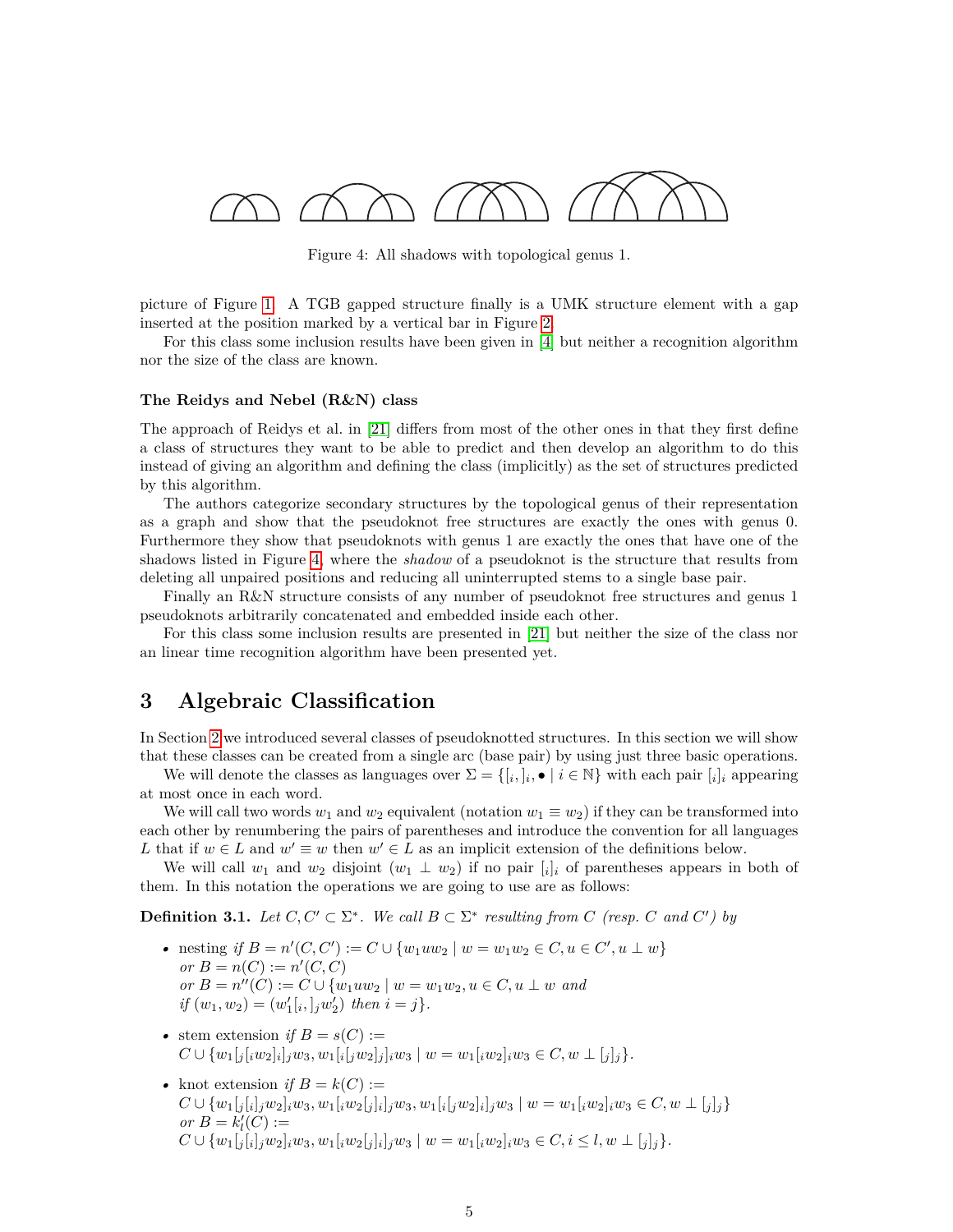

<span id="page-4-0"></span>Figure 4: All shadows with topological genus 1.

picture of Figure [1.](#page-1-0) A TGB gapped structure finally is a UMK structure element with a gap inserted at the position marked by a vertical bar in Figure [2.](#page-2-0)

For this class some inclusion results have been given in [\[4\]](#page-21-5) but neither a recognition algorithm nor the size of the class are known.

#### **The Reidys and Nebel (R&N) class**

The approach of Reidys et al. in [\[21\]](#page-22-5) differs from most of the other ones in that they first define a class of structures they want to be able to predict and then develop an algorithm to do this instead of giving an algorithm and defining the class (implicitly) as the set of structures predicted by this algorithm.

The authors categorize secondary structures by the topological genus of their representation as a graph and show that the pseudoknot free structures are exactly the ones with genus 0. Furthermore they show that pseudoknots with genus 1 are exactly the ones that have one of the shadows listed in Figure [4,](#page-4-0) where the *shadow* of a pseudoknot is the structure that results from deleting all unpaired positions and reducing all uninterrupted stems to a single base pair.

Finally an R&N structure consists of any number of pseudoknot free structures and genus 1 pseudoknots arbitrarily concatenated and embedded inside each other.

For this class some inclusion results are presented in [\[21\]](#page-22-5) but neither the size of the class nor an linear time recognition algorithm have been presented yet.

# <span id="page-4-1"></span>**3 Algebraic Classification**

In Section [2](#page-1-1) we introduced several classes of pseudoknotted structures. In this section we will show that these classes can be created from a single arc (base pair) by using just three basic operations.

We will denote the classes as languages over  $\Sigma = \{ [i, j_i, \bullet] | i \in \mathbb{N} \}$  with each pair  $[i]_i$  appearing at most once in each word.

We will call two words  $w_1$  and  $w_2$  equivalent (notation  $w_1 \equiv w_2$ ) if they can be transformed into each other by renumbering the pairs of parentheses and introduce the convention for all languages *L* that if  $w \in L$  and  $w' \equiv w$  then  $w' \in L$  as an implicit extension of the definitions below.

We will call  $w_1$  and  $w_2$  disjoint  $(w_1 \perp w_2)$  if no pair  $[i]_i$  of parentheses appears in both of them. In this notation the operations we are going to use are as follows:

**Definition 3.1.** *Let*  $C, C' \subset \Sigma^*$ . We call  $B \subset \Sigma^*$  resulting from  $C$  (resp.  $C$  and  $C'$ ) by

- nesting *if*  $B = n'(C, C') := C \cup \{w_1uw_2 \mid w = w_1w_2 \in C, u \in C', u \perp w\}$ *or*  $B = n(C) := n'(C, C)$  $or B = n''(C) := C \cup \{w_1uw_2 \mid w = w_1w_2, u \in C, u \perp w \text{ and } w \in C\}$  $if (w_1, w_2) = (w'_1[i, j'_1w'_2)$  *then*  $i = j$ *}*.
- stem extension *if*  $B = s(C) :=$  $C \cup \{w_1[j_i[w_2]_i]_jw_3, w_1[i_j[w_2]_j]_iw_3 \mid w = w_1[iw_2]_iw_3 \in C, w \perp [j]_j\}.$
- knot extension *if*  $B = k(C)$  :=  $C \cup \{w_1[j[i]_j w_2]_i w_3, w_1[iw_2[j]_i]_j w_3, w_1[i[jw_2]_i]_j w_3 \mid w = w_1[iw_2]_i w_3 \in C, w \perp [j]_j\}$ *or*  $B = k'_l(C) :=$  $C \cup \{w_1[j[i],w_2]_i w_3,w_1[iw_2[j]_i]_j w_3 \mid w=w_1[iw_2]_i w_3 \in C, i \leq l, w \perp [j]_j\}.$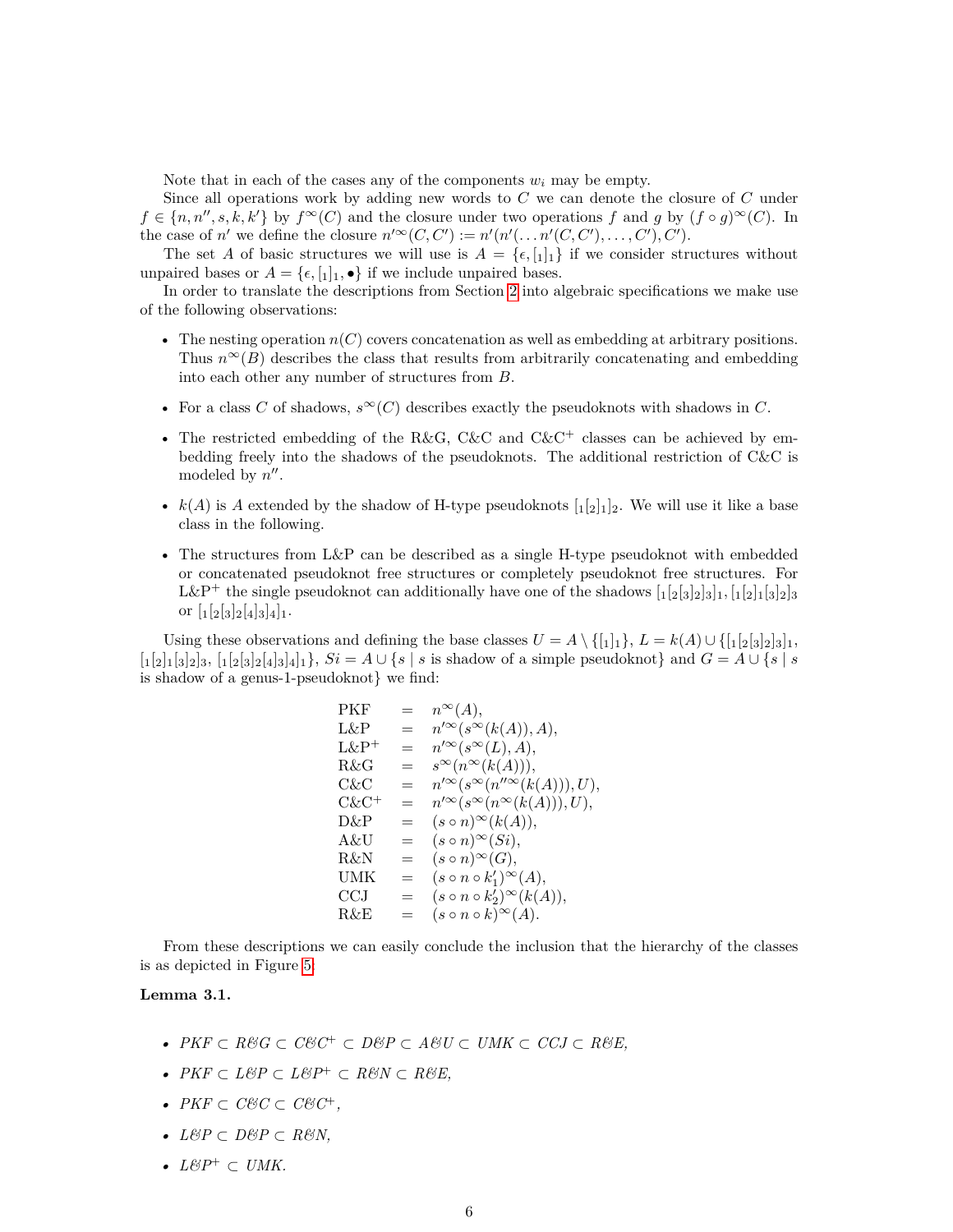Note that in each of the cases any of the components  $w_i$  may be empty.

Since all operations work by adding new words to *C* we can denote the closure of *C* under  $f \in \{n, n'', s, k, k'\}$  by  $f^{\infty}(C)$  and the closure under two operations *f* and *g* by  $(f \circ q)^{\infty}(C)$ . In the case of *n'* we define the closure  $n'^{\infty}(C, C') := n'(n'(\ldots n'(C, C'), \ldots, C'), C')$ .

The set *A* of basic structures we will use is  $A = \{\epsilon, [1]_1\}$  if we consider structures without unpaired bases or  $A = \{\epsilon, [1]_1, \bullet\}$  if we include unpaired bases.

In order to translate the descriptions from Section [2](#page-1-1) into algebraic specifications we make use of the following observations:

- The nesting operation *n*(*C*) covers concatenation as well as embedding at arbitrary positions. Thus  $n^{\infty}(B)$  describes the class that results from arbitrarily concatenating and embedding into each other any number of structures from *B*.
- For a class *C* of shadows,  $s^{\infty}(C)$  describes exactly the pseudoknots with shadows in *C*.
- The restricted embedding of the R&G, C&C and C&C<sup>+</sup> classes can be achieved by embedding freely into the shadows of the pseudoknots. The additional restriction of C&C is modeled by  $n''$ .
- $k(A)$  is A extended by the shadow of H-type pseudoknots  $\lbrack i_2 \rbrack_1 \rbrack_2$ . We will use it like a base class in the following.
- The structures from L&P can be described as a single H-type pseudoknot with embedded or concatenated pseudoknot free structures or completely pseudoknot free structures. For L&P<sup>+</sup> the single pseudoknot can additionally have one of the shadows  $\left[1\left[2\left[3\right]2\right]3\right]1$ ,  $\left[1\left[2\right]1\left[3\right]2\right]3$ or  $\left[{}_1[_2[_3]_2[_4]_3]_4\right]_1$ .

Using these observations and defining the base classes  $U = A \setminus \{[\mathbf{1}]_1\}$ ,  $L = k(A) \cup \{[\mathbf{1}[2[\mathbf{3}]_2]\mathbf{1}]\}$ ,  $\{1, [2], [3], [2], [4], [2], [4], [3], [4], [5], \}$  *Si* = *A* ∪ {*s* | *s* is shadow of a simple pseudoknot} and *G* = *A* ∪ {*s* | *s* is shadow of a genus-1-pseudoknot} we find:

$$
PKF = n^{\infty}(A),
$$
  
\n
$$
L\&P = n'^{\infty}(s^{\infty}(k(A)), A),
$$
  
\n
$$
L\&P^{+} = n'^{\infty}(s^{\infty}(L), A),
$$
  
\n
$$
R\&G = s^{\infty}(n^{\infty}(k(A))),
$$
  
\n
$$
C\&C = n'^{\infty}(s^{\infty}(n''^{\infty}(k(A))), U),
$$
  
\n
$$
C\&C^{+} = n'^{\infty}(s^{\infty}(n^{\infty}(k(A))), U),
$$
  
\n
$$
D\&P = (s \circ n)^{\infty}(k(A)),
$$
  
\n
$$
R\&U = (s \circ n)^{\infty}(G),
$$
  
\n
$$
I\&N = (s \circ n \circ k_{1}')^{\infty}(A),
$$
  
\n
$$
C\&CJ = (s \circ n \circ k_{2}')^{\infty}(k(A)),
$$
  
\n
$$
R\&E = (s \circ n \circ k_{2}')^{\infty}(A).
$$

From these descriptions we can easily conclude the inclusion that the hierarchy of the classes is as depicted in Figure [5:](#page-6-0)

#### <span id="page-5-0"></span>**Lemma 3.1.**

- *• PKF* ⊂ *R&G* ⊂ *C&C*<sup>+</sup> ⊂ *D&P* ⊂ *A&U* ⊂ *UMK* ⊂ *CCJ* ⊂ *R&E,*
- *• PKF* ⊂ *L&P* ⊂ *L&P*<sup>+</sup> ⊂ *R&N* ⊂ *R&E,*
- *• PKF* ⊂ *C&C* ⊂ *C&C*<sup>+</sup>*,*
- *• L&P* ⊂ *D&P* ⊂ *R&N,*
- *• L&P*<sup>+</sup> ⊂ *UMK.*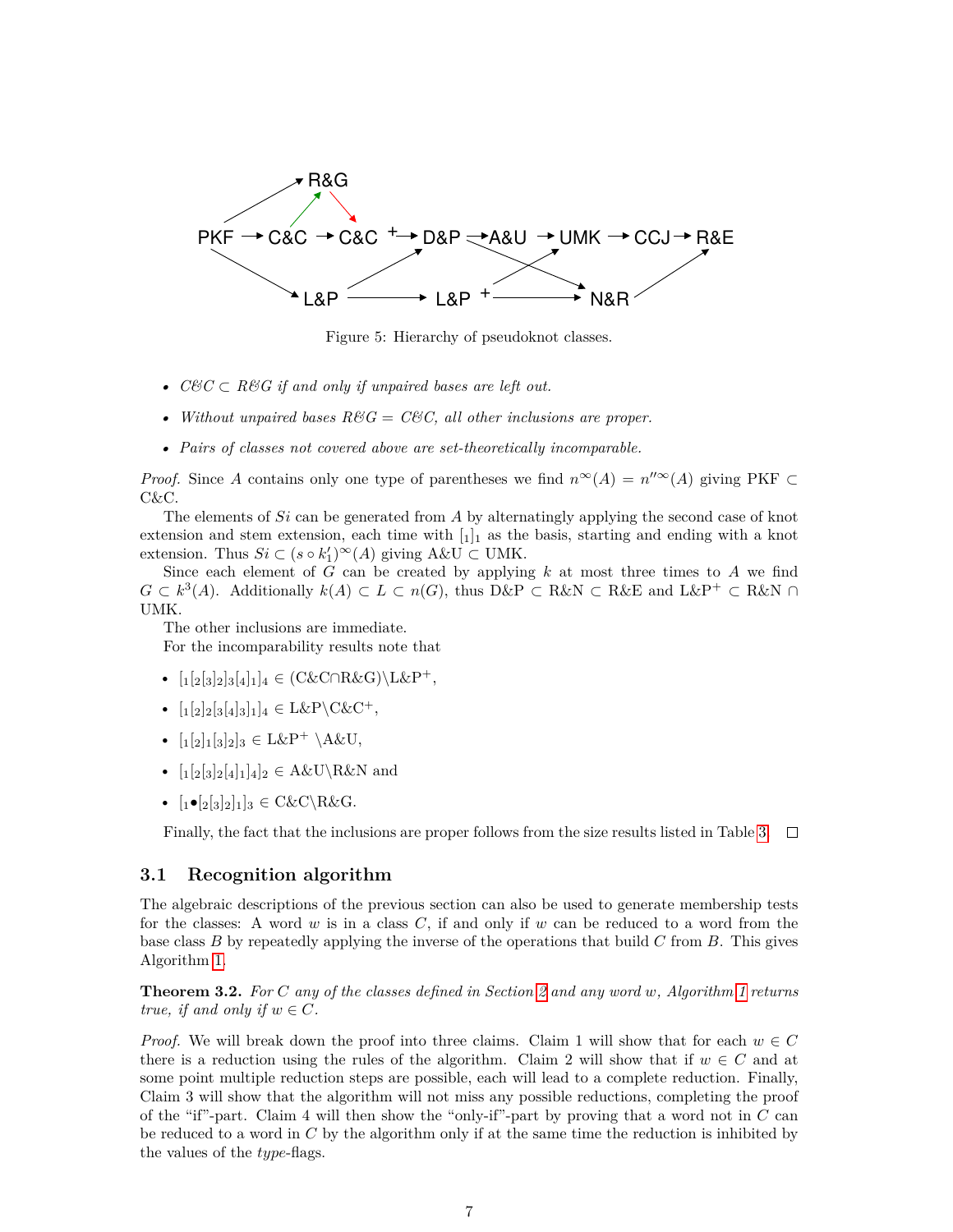

<span id="page-6-0"></span>Figure 5: Hierarchy of pseudoknot classes.

- *• C&C* ⊂ *R&G if and only if unpaired bases are left out.*
- *Without unpaired bases*  $R\&G = C\&C$ , all other inclusions are proper.
- *• Pairs of classes not covered above are set-theoretically incomparable.*

*Proof.* Since *A* contains only one type of parentheses we find  $n^{\infty}(A) = n^{\prime\prime\infty}(A)$  giving PKF ⊂ C&C.

The elements of *Si* can be generated from *A* by alternatingly applying the second case of knot extension and stem extension, each time with  $\left[1\right]_1$  as the basis, starting and ending with a knot extension. Thus  $Si \subset (s \circ k_1')^{\infty}(A)$  giving  $A \& U \subset \text{UMK}.$ 

Since each element of *G* can be created by applying *k* at most three times to *A* we find  $G \subset k^3(A)$ . Additionally  $k(A) \subset L \subset n(G)$ , thus D&P ⊂ R&N ⊂ R&E and L&P<sup>+</sup> ⊂ R&N ∩ UMK.

The other inclusions are immediate. For the incomparability results note that

- $[1[2[3]2]3[4]1]4 \in (C\&C \cap R\&G) \L\&P^+.$
- $[1[2]2[3[4]3]1]_4 \in L\&P \setminus C\&C^+,$
- $[12132]_3 \in L\&P^+ \setminus A\&U,$
- $\left[\frac{1}{2}[3]_2[4]_1\right]_2 \in A\&\text{U}\&\text{N}$  and
- $\lbrack 1 \bullet \lbrack 2 \rbrack 3 \rbrack 2 \rbrack 1]_3 \in C\& C\&C\&G.$

Finally, the fact that the inclusions are proper follows from the size results listed in Table [3.](#page-20-0)  $\Box$ 

## **3.1 Recognition algorithm**

The algebraic descriptions of the previous section can also be used to generate membership tests for the classes: A word *w* is in a class *C*, if and only if *w* can be reduced to a word from the base class *B* by repeatedly applying the inverse of the operations that build *C* from *B*. This gives Algorithm [1.](#page-7-0)

**Theorem 3.2.** *For C any of the classes defined in Section [2](#page-1-1) and any word w, Algorithm [1](#page-7-0) returns true, if and only if*  $w \in C$ *.* 

*Proof.* We will break down the proof into three claims. Claim 1 will show that for each  $w \in C$ there is a reduction using the rules of the algorithm. Claim 2 will show that if  $w \in C$  and at some point multiple reduction steps are possible, each will lead to a complete reduction. Finally, Claim 3 will show that the algorithm will not miss any possible reductions, completing the proof of the "if"-part. Claim 4 will then show the "only-if"-part by proving that a word not in *C* can be reduced to a word in *C* by the algorithm only if at the same time the reduction is inhibited by the values of the *type*-flags.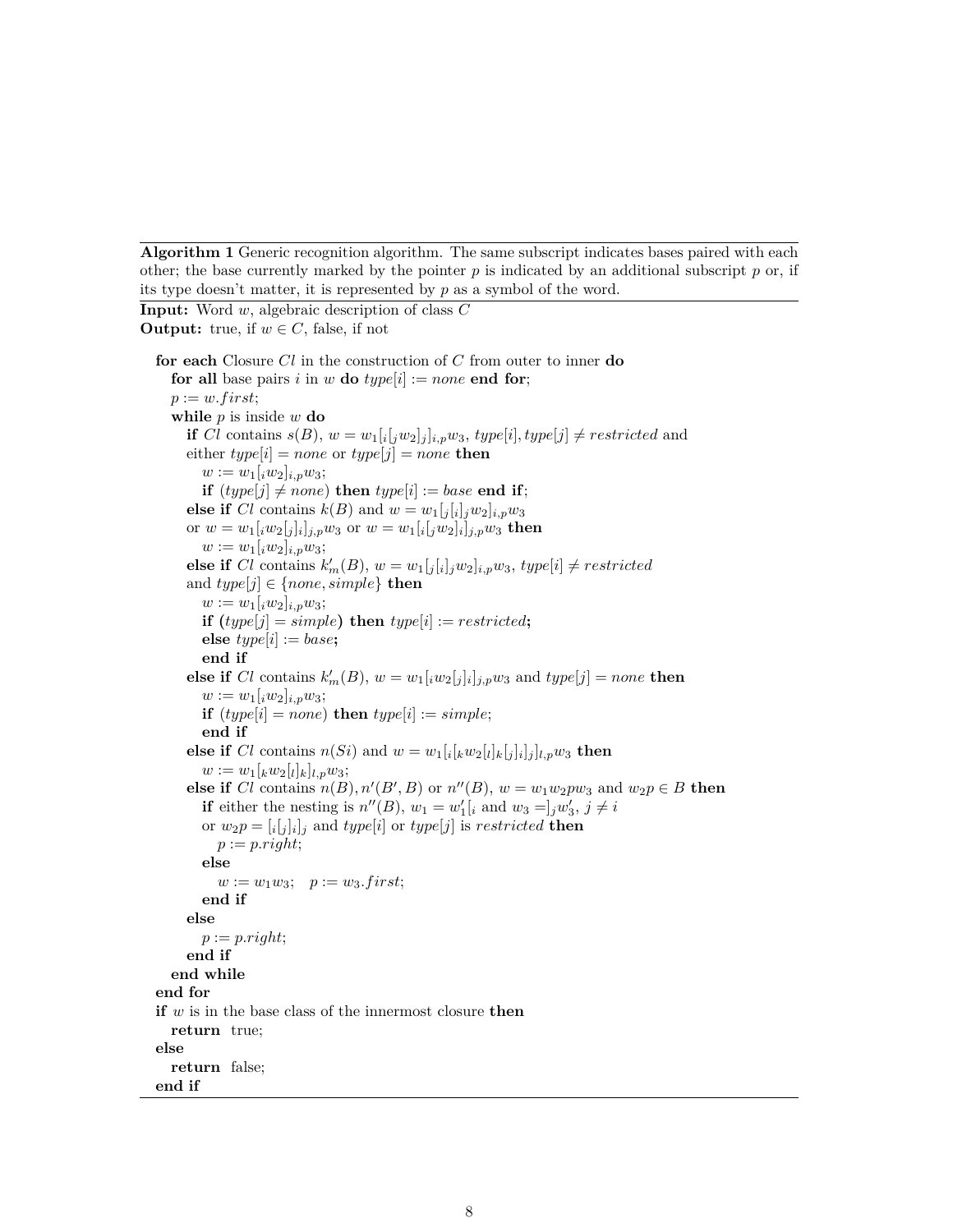<span id="page-7-0"></span>**Algorithm 1** Generic recognition algorithm. The same subscript indicates bases paired with each other; the base currently marked by the pointer  $p$  is indicated by an additional subscript  $p$  or, if its type doesn't matter, it is represented by *p* as a symbol of the word.

```
Input: Word w, algebraic description of class C
Output: true, if w \in C, false, if not
  for each Closure Cl in the construction of C from outer to inner do
     for all base pairs i in w do type[i] := none end for;
    p := w \cdot first;while p is inside w do
       if Cl contains s(B), w = w_1[i[jw_2]_j]_{i,p}w_3, type[i], type[j] \neq restricted and
       \text{either } type[i] = none \text{ or } type[j] = none \text{ then}w := w_1[iw_2]_{i,p}w_3;if (type[j] \neq none) then type[i] := base end if;
       else if Cl contains k(B) and w = w_1[j[i]_jw_2]_{i,p}w_3or w = w_1[iw_2[j]_i]_j, w_3 or w = w_1[i[jw_2]_i]_j, w_3 then
          w := w_1[iw_2]_{i,p}w_3;else if Cl contains k'_m(B), w = w_1[j_i][j_jw_2]_{i,p}w_3, type[i] \neq restrictedand type[j] \in \{none, simple\} then
          w := w_1[iw_2]_{i,p}w_3;if (type[j] = simple) then type[i] := restricted;
          else type[i] := base;end if
       else if Cl contains k'_m(B), w = w_1[iw_2[j]_i]_{j,p}w_3 and type[j] = none then
          w := w_1[iw_2]_{i,p}w_3;if (type[i] = none) then type[i] := simple;end if
       else if Cl contains n(Si) and w = w_1[i[kw_2[i]_k[j]_i]_j]_{l,p}w_3 then
          w := w_1[kw_2[i]_k]_{l,p}w_3;else if Cl contains n(B), n'(B', B) or n''(B), w = w_1w_2pw_3 and w_2p \in B then
          if either the nesting is n''(B), w_1 = w'_1[i and w_3 = j_jw'_3, j \neq ior w_2p = [i[j]_i]_j and type[i] or type[j] is restricted then
            p := p.right;else
            w := w_1 w_3; \quad p := w_3 \text{.} first;end if
       else
         p := p.right;end if
    end while
  end for
  if w is in the base class of the innermost closure then
    return true;
  else
    return false;
  end if
```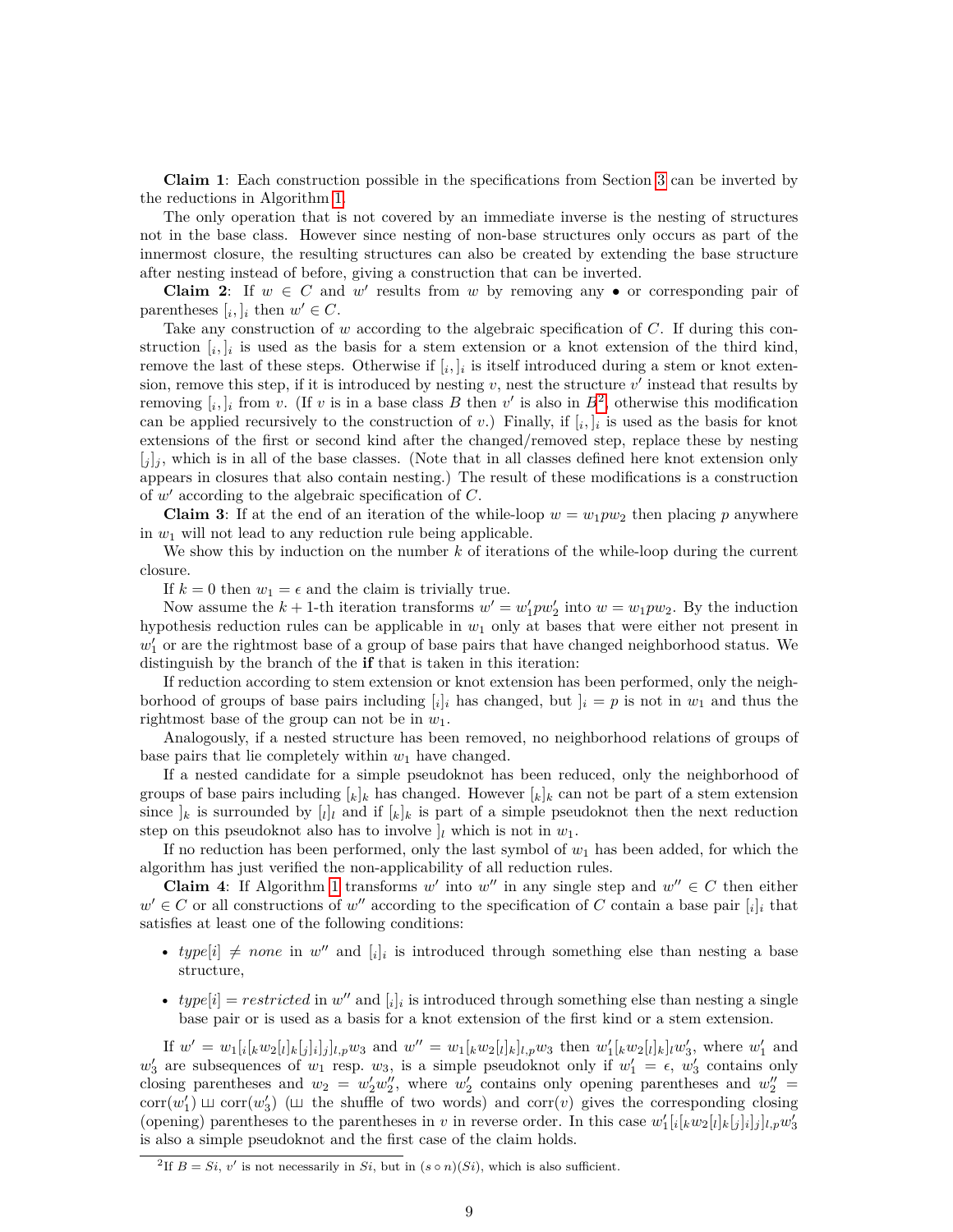**Claim 1**: Each construction possible in the specifications from Section [3](#page-4-1) can be inverted by the reductions in Algorithm [1.](#page-7-0)

The only operation that is not covered by an immediate inverse is the nesting of structures not in the base class. However since nesting of non-base structures only occurs as part of the innermost closure, the resulting structures can also be created by extending the base structure after nesting instead of before, giving a construction that can be inverted.

**Claim 2**: If  $w \in C$  and  $w'$  results from  $w$  by removing any  $\bullet$  or corresponding pair of parentheses  $[i, j]$  then  $w' \in C$ .

Take any construction of *w* according to the algebraic specification of *C*. If during this construction  $[i, j]$  is used as the basis for a stem extension or a knot extension of the third kind, remove the last of these steps. Otherwise if  $[i, j]_i$  is itself introduced during a stem or knot extension, remove this step, if it is introduced by nesting  $v$ , nest the structure  $v'$  instead that results by removing  $[i, j]$  from *v*. (If *v* is in a base class *B* then *v*' is also in  $B^2$  $B^2$ , otherwise this modification can be applied recursively to the construction of *v*.) Finally, if  $[i, j]$  is used as the basis for knot extensions of the first or second kind after the changed/removed step, replace these by nesting  $[j]_j$ , which is in all of the base classes. (Note that in all classes defined here knot extension only appears in closures that also contain nesting.) The result of these modifications is a construction of *w* <sup>0</sup> according to the algebraic specification of *C*.

**Claim 3**: If at the end of an iteration of the while-loop  $w = w_1 p w_2$  then placing p anywhere in  $w_1$  will not lead to any reduction rule being applicable.

We show this by induction on the number k of iterations of the while-loop during the current closure.

If  $k = 0$  then  $w_1 = \epsilon$  and the claim is trivially true.

Now assume the  $k + 1$ -th iteration transforms  $w' = w'_1 p w'_2$  into  $w = w_1 p w_2$ . By the induction hypothesis reduction rules can be applicable in *w*<sup>1</sup> only at bases that were either not present in  $w_1'$  or are the rightmost base of a group of base pairs that have changed neighborhood status. We distinguish by the branch of the **if** that is taken in this iteration:

If reduction according to stem extension or knot extension has been performed, only the neighborhood of groups of base pairs including  $[i]_i$  has changed, but  $]_i = p$  is not in  $w_1$  and thus the rightmost base of the group can not be in *w*1.

Analogously, if a nested structure has been removed, no neighborhood relations of groups of base pairs that lie completely within *w*<sup>1</sup> have changed.

If a nested candidate for a simple pseudoknot has been reduced, only the neighborhood of groups of base pairs including  $[k]_k$  has changed. However  $[k]_k$  can not be part of a stem extension since  $\mathcal{I}_k$  is surrounded by  $\mathcal{I}_l$  and if  $\mathcal{I}_k$  is part of a simple pseudoknot then the next reduction step on this pseudoknot also has to involve  $\vert_l$  which is not in  $w_1$ .

If no reduction has been performed, only the last symbol of  $w_1$  has been added, for which the algorithm has just verified the non-applicability of all reduction rules.

**Claim 4:** If Algorithm [1](#page-7-0) transforms  $w'$  into  $w''$  in any single step and  $w'' \in C$  then either  $w' \in C$  or all constructions of  $w''$  according to the specification of *C* contain a base pair  $[i]_i$  that satisfies at least one of the following conditions:

- $type[i] \neq none$  in  $w''$  and  $[i]_i$  is introduced through something else than nesting a base structure,
- $type[i] = restricted$  in  $w''$  and  $[i]_i$  is introduced through something else than nesting a single base pair or is used as a basis for a knot extension of the first kind or a stem extension.

If  $w' = w_1[i[kw_2[i]_k[j]_i]_j]_{l,p}w_3$  and  $w'' = w_1[kw_2[i]_k]_{l,p}w_3$  then  $w'_1[kw_2[i]_k]_lw'_3$ , where  $w'_1$  and  $w'_3$  are subsequences of  $w_1$  resp.  $w_3$ , is a simple pseudoknot only if  $w'_1 = \epsilon$ ,  $w'_3$  contains only closing parentheses and  $w_2 = w_2'w_2''$ , where  $w_2'$  contains only opening parentheses and  $w_2'' =$ corr $(w'_1)$   $\sqcup$  corr $(w'_3)$  ( $\sqcup$  the shuffle of two words) and corr $(v)$  gives the corresponding closing (opening) parentheses to the parentheses in *v* in reverse order. In this case  $w'_1[i[kw_2[i]_k[j]_i]_j]_{l,p}w'_3$ is also a simple pseudoknot and the first case of the claim holds.

<span id="page-8-0"></span><sup>&</sup>lt;sup>2</sup>If  $B = Si, v'$  is not necessarily in *Si*, but in  $(s \circ n)(Si)$ , which is also sufficient.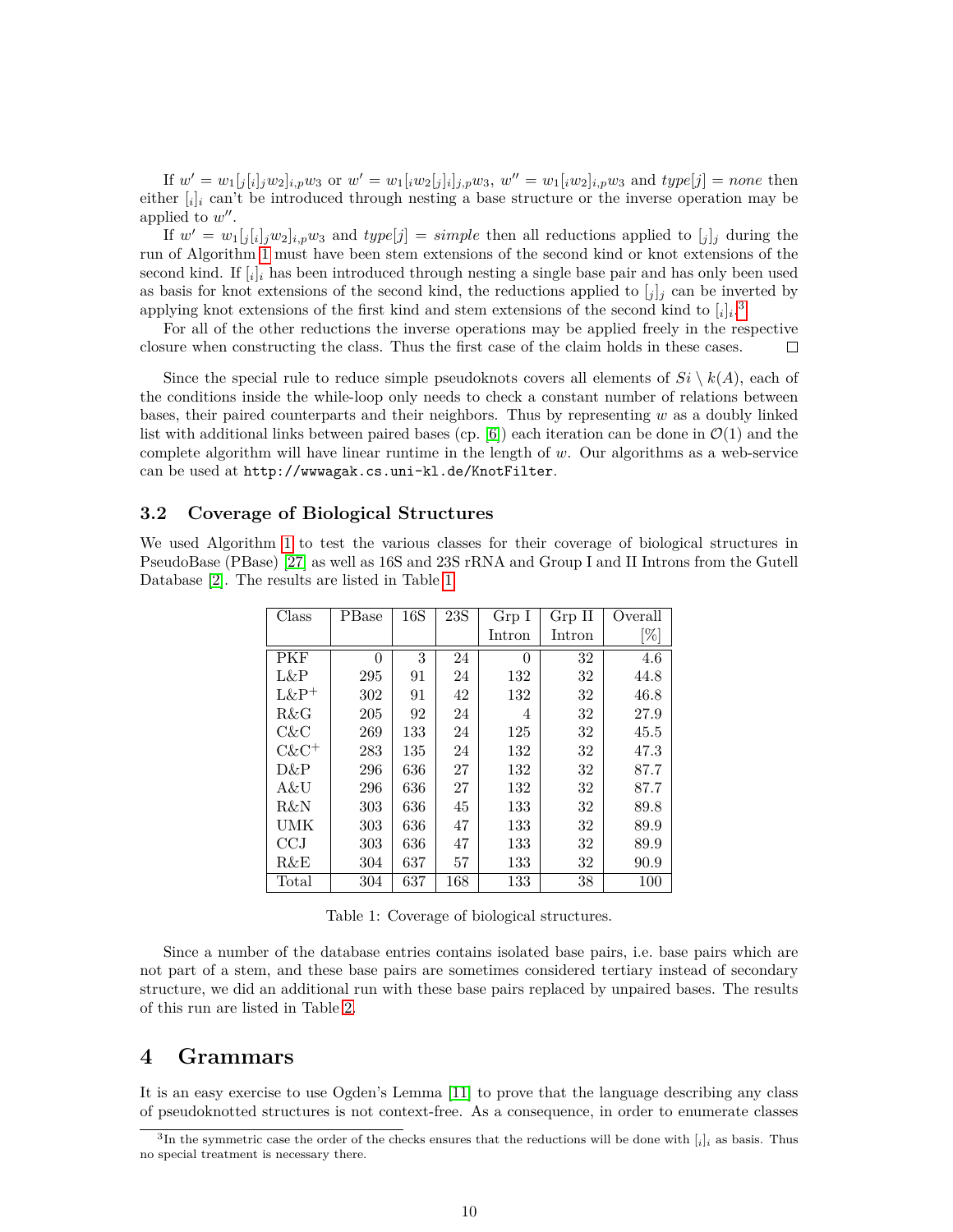If  $w' = w_1[j[i]_j w_2]_{i,p} w_3$  or  $w' = w_1[i w_2[j]_i]_{j,p} w_3$ ,  $w'' = w_1[i w_2]_{i,p} w_3$  and  $type[j] = none$  then either  $[i]_i$  can't be introduced through nesting a base structure or the inverse operation may be applied to  $w''$ .

If  $w' = w_1[j[i]jw_2]_{i,p}w_3$  and  $type[j] = simple$  then all reductions applied to  $[j]_j$  during the run of Algorithm [1](#page-7-0) must have been stem extensions of the second kind or knot extensions of the second kind. If [*<sup>i</sup>* ]*<sup>i</sup>* has been introduced through nesting a single base pair and has only been used as basis for knot extensions of the second kind, the reductions applied to  $[j]$  can be inverted by applying knot extensions of the first kind and stem extensions of the second kind to  $[i]_i$ <sup>[3](#page-9-0)</sup>

For all of the other reductions the inverse operations may be applied freely in the respective closure when constructing the class. Thus the first case of the claim holds in these cases.  $\Box$ 

Since the special rule to reduce simple pseudoknots covers all elements of  $Si \setminus k(A)$ , each of the conditions inside the while-loop only needs to check a constant number of relations between bases, their paired counterparts and their neighbors. Thus by representing *w* as a doubly linked list with additional links between paired bases (cp.  $[6]$ ) each iteration can be done in  $\mathcal{O}(1)$  and the complete algorithm will have linear runtime in the length of *w*. Our algorithms as a web-service can be used at http://wwwagak.cs.uni-kl.de/KnotFilter.

### **3.2 Coverage of Biological Structures**

We used Algorithm [1](#page-7-0) to test the various classes for their coverage of biological structures in PseudoBase (PBase) [\[27\]](#page-22-0) as well as 16S and 23S rRNA and Group I and II Introns from the Gutell Database [\[2\]](#page-21-13). The results are listed in Table [1.](#page-9-1)

| Class    | PBase    | 16S | 23S | Grp I          | Grp II | Overall |
|----------|----------|-----|-----|----------------|--------|---------|
|          |          |     |     | Intron         | Intron | [%]     |
| PKF      | $\Omega$ | 3   | 24  | $\overline{0}$ | 32     | 4.6     |
| L&P      | 295      | 91  | 24  | 132            | 32     | 44.8    |
| $L\&P^+$ | 302      | 91  | 42  | 132            | 32     | 46.8    |
| R&G      | 205      | 92  | 24  | 4              | 32     | 27.9    |
| C&C      | 269      | 133 | 24  | 125            | 32     | 45.5    |
| $C\&C^+$ | 283      | 135 | 24  | $132\,$        | 32     | 47.3    |
| D&P      | 296      | 636 | 27  | 132            | 32     | 87.7    |
| A&U      | 296      | 636 | 27  | 132            | 32     | 87.7    |
| R&N      | 303      | 636 | 45  | 133            | 32     | 89.8    |
| UMK      | 303      | 636 | 47  | 133            | 32     | 89.9    |
| CCJ      | 303      | 636 | 47  | 133            | 32     | 89.9    |
| R&E      | 304      | 637 | 57  | 133            | 32     | 90.9    |
| Total    | 304      | 637 | 168 | 133            | 38     | 100     |

<span id="page-9-1"></span>Table 1: Coverage of biological structures.

Since a number of the database entries contains isolated base pairs, i.e. base pairs which are not part of a stem, and these base pairs are sometimes considered tertiary instead of secondary structure, we did an additional run with these base pairs replaced by unpaired bases. The results of this run are listed in Table [2.](#page-10-0)

# **4 Grammars**

It is an easy exercise to use Ogden's Lemma [\[11\]](#page-21-14) to prove that the language describing any class of pseudoknotted structures is not context-free. As a consequence, in order to enumerate classes

<span id="page-9-0"></span><sup>3</sup> In the symmetric case the order of the checks ensures that the reductions will be done with [*i*]*<sup>i</sup>* as basis. Thus no special treatment is necessary there.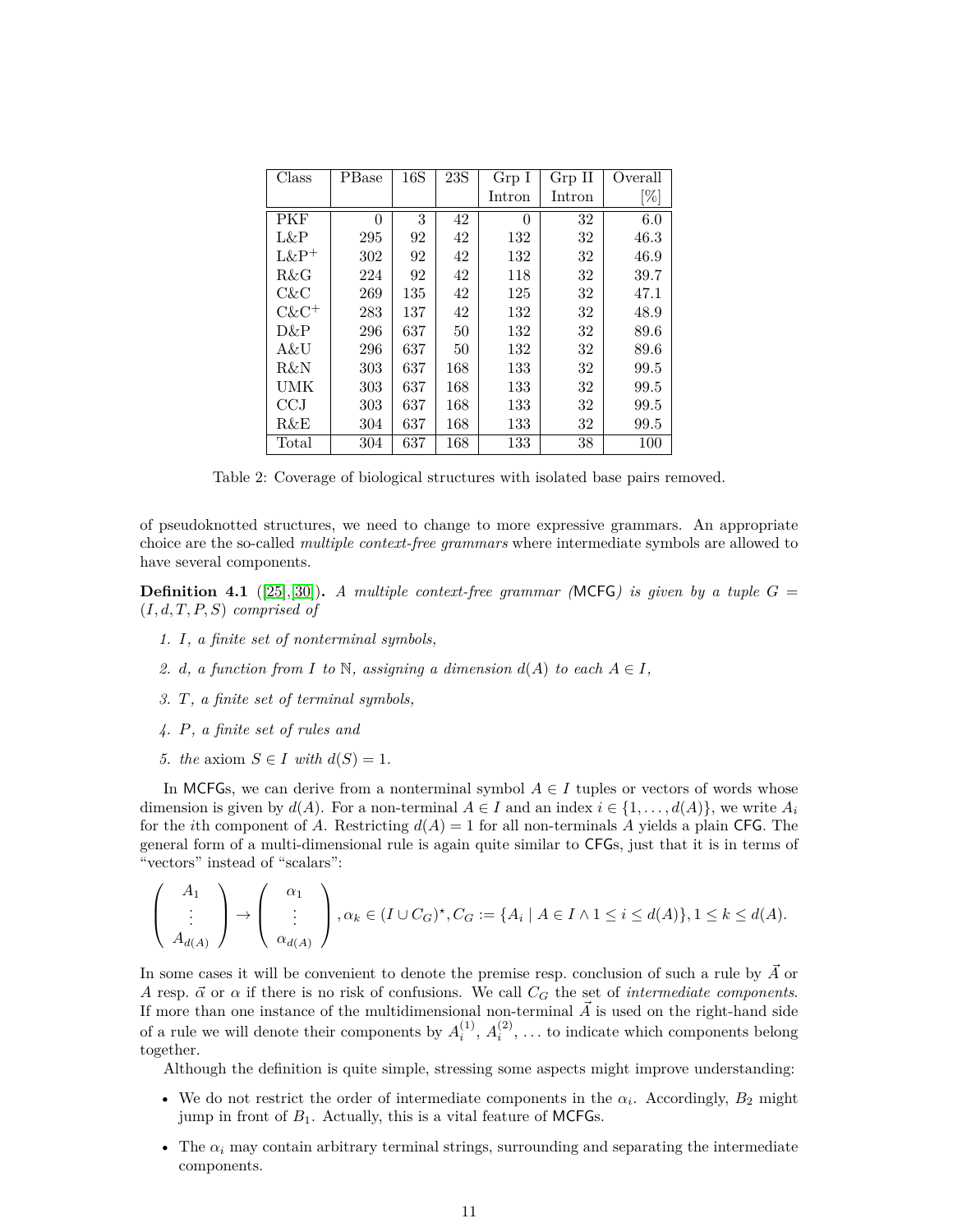| Class      | PBase | 16S | 23S | Grp I    | Grp II | Overall |
|------------|-------|-----|-----|----------|--------|---------|
|            |       |     |     | Intron   | Intron | [%]     |
| <b>PKF</b> | 0     | 3   | 42  | $\theta$ | 32     | 6.0     |
| L&P        | 295   | 92  | 42  | 132      | 32     | 46.3    |
| $L\&P^+$   | 302   | 92  | 42  | 132      | 32     | 46.9    |
| R&G        | 224   | 92  | 42  | 118      | 32     | 39.7    |
| C&C        | 269   | 135 | 42  | 125      | 32     | 47.1    |
| $C\&C^+$   | 283   | 137 | 42  | 132      | 32     | 48.9    |
| D&P        | 296   | 637 | 50  | 132      | 32     | 89.6    |
| A&U        | 296   | 637 | 50  | 132      | 32     | 89.6    |
| R&N        | 303   | 637 | 168 | 133      | 32     | 99.5    |
| UMK        | 303   | 637 | 168 | 133      | 32     | 99.5    |
| CCJ        | 303   | 637 | 168 | 133      | 32     | 99.5    |
| R&E        | 304   | 637 | 168 | 133      | 32     | 99.5    |
| Total      | 304   | 637 | 168 | 133      | 38     | 100     |

<span id="page-10-0"></span>Table 2: Coverage of biological structures with isolated base pairs removed.

of pseudoknotted structures, we need to change to more expressive grammars. An appropriate choice are the so-called *multiple context-free grammars* where intermediate symbols are allowed to have several components.

**Definition 4.1** ([\[25\]](#page-22-11), [\[30\]](#page-22-12)). *A multiple context-free grammar (MCFG) is given by a tuple*  $G =$ (*I, d, T, P, S*) *comprised of*

- *1. I, a finite set of nonterminal symbols,*
- 2. *d, a function from I to*  $\mathbb{N}$ *, assigning a dimension*  $d(A)$  *to each*  $A \in I$ *,*
- *3. T, a finite set of terminal symbols,*
- *4. P, a finite set of rules and*
- *5. the* axiom  $S \in I$  *with*  $d(S) = 1$ .

In MCFGs, we can derive from a nonterminal symbol  $A \in I$  tuples or vectors of words whose dimension is given by  $d(A)$ . For a non-terminal  $A \in I$  and an index  $i \in \{1, \ldots, d(A)\}$ , we write  $A_i$ for the *i*th component of *A*. Restricting  $d(A) = 1$  for all non-terminals *A* yields a plain CFG. The general form of a multi-dimensional rule is again quite similar to CFGs, just that it is in terms of "vectors" instead of "scalars":

$$
\begin{pmatrix} A_1 \\ \vdots \\ A_{d(A)} \end{pmatrix} \rightarrow \begin{pmatrix} \alpha_1 \\ \vdots \\ \alpha_{d(A)} \end{pmatrix}, \alpha_k \in (I \cup C_G)^{\star}, C_G := \{A_i \mid A \in I \land 1 \leq i \leq d(A)\}, 1 \leq k \leq d(A).
$$

In some cases it will be convenient to denote the premise resp. conclusion of such a rule by  $\vec{A}$  or *A* resp.  $\vec{\alpha}$  or  $\alpha$  if there is no risk of confusions. We call  $C_G$  the set of *intermediate components*. If more than one instance of the multidimensional non-terminal  $\vec{A}$  is used on the right-hand side of a rule we will denote their components by  $A_i^{(1)}, A_i^{(2)}, \ldots$  to indicate which components belong together.

Although the definition is quite simple, stressing some aspects might improve understanding:

- We do not restrict the order of intermediate components in the  $\alpha_i$ . Accordingly,  $B_2$  might jump in front of  $B_1$ . Actually, this is a vital feature of MCFGs.
- The  $\alpha_i$  may contain arbitrary terminal strings, surrounding and separating the intermediate components.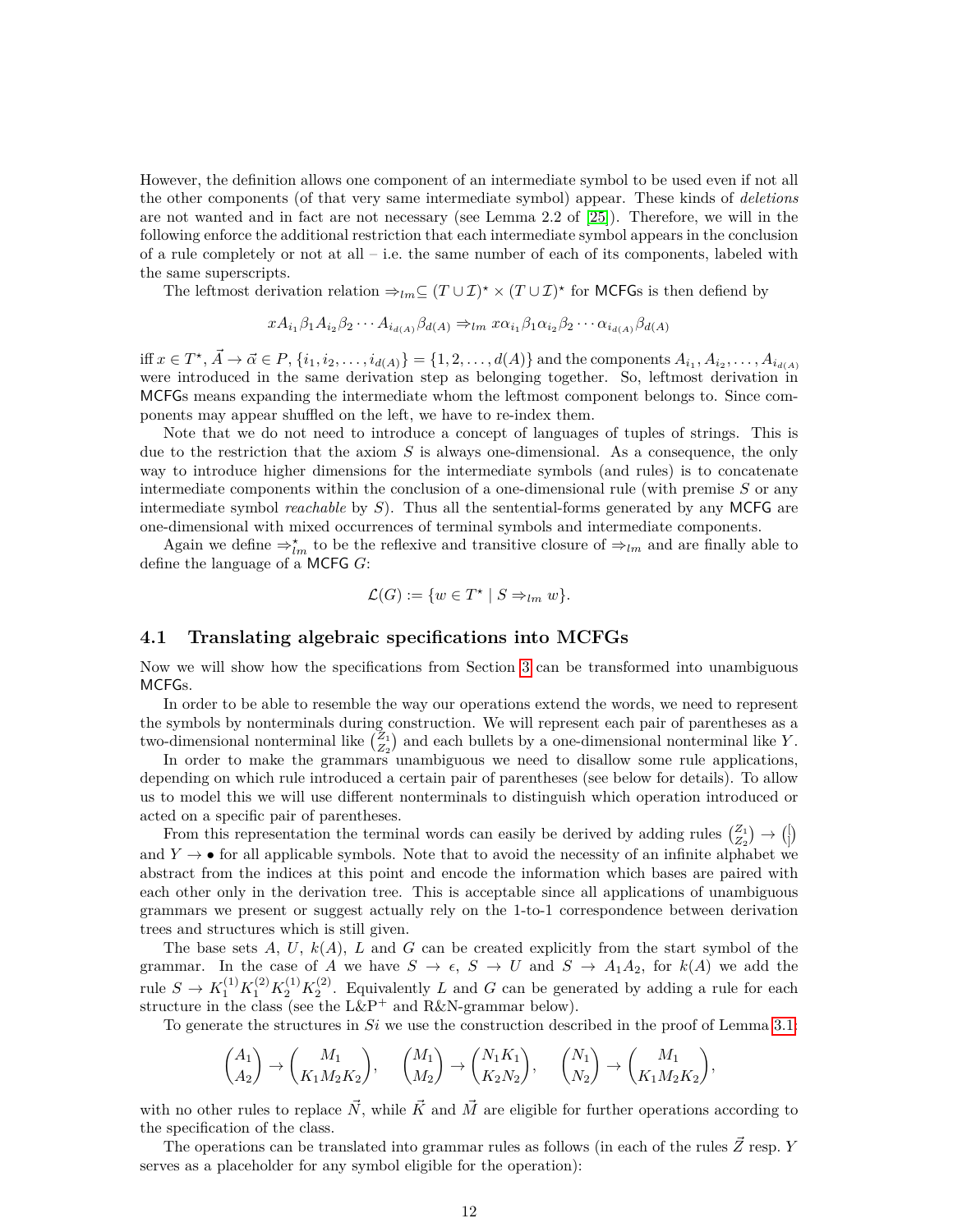However, the definition allows one component of an intermediate symbol to be used even if not all the other components (of that very same intermediate symbol) appear. These kinds of *deletions* are not wanted and in fact are not necessary (see Lemma 2.2 of [\[25\]](#page-22-11)). Therefore, we will in the following enforce the additional restriction that each intermediate symbol appears in the conclusion of a rule completely or not at all  $-$  i.e. the same number of each of its components, labeled with the same superscripts.

The leftmost derivation relation  $\Rightarrow_{lm} \subseteq (T \cup \mathcal{I})^* \times (T \cup \mathcal{I})^*$  for MCFGs is then defiend by

$$
xA_{i_1}\beta_1A_{i_2}\beta_2\cdots A_{i_{d(A)}}\beta_{d(A)} \Rightarrow_{lm} x\alpha_{i_1}\beta_1\alpha_{i_2}\beta_2\cdots \alpha_{i_{d(A)}}\beta_{d(A)}
$$

iff  $x \in T^*$ ,  $\vec{A} \to \vec{\alpha} \in P$ ,  $\{i_1, i_2, \ldots, i_{d(A)}\} = \{1, 2, \ldots, d(A)\}$  and the components  $A_{i_1}, A_{i_2}, \ldots, A_{i_{d(A)}}$ were introduced in the same derivation step as belonging together. So, leftmost derivation in MCFGs means expanding the intermediate whom the leftmost component belongs to. Since components may appear shuffled on the left, we have to re-index them.

Note that we do not need to introduce a concept of languages of tuples of strings. This is due to the restriction that the axiom *S* is always one-dimensional. As a consequence, the only way to introduce higher dimensions for the intermediate symbols (and rules) is to concatenate intermediate components within the conclusion of a one-dimensional rule (with premise *S* or any intermediate symbol *reachable* by *S*). Thus all the sentential-forms generated by any MCFG are one-dimensional with mixed occurrences of terminal symbols and intermediate components.

Again we define  $\Rightarrow_{lm}^{\star}$  to be the reflexive and transitive closure of  $\Rightarrow_{lm}$  and are finally able to define the language of a MCFG *G*:

$$
\mathcal{L}(G) := \{ w \in T^* \mid S \Rightarrow_{lm} w \}.
$$

### <span id="page-11-0"></span>**4.1 Translating algebraic specifications into MCFGs**

Now we will show how the specifications from Section [3](#page-4-1) can be transformed into unambiguous MCFGs.

In order to be able to resemble the way our operations extend the words, we need to represent the symbols by nonterminals during construction. We will represent each pair of parentheses as a two-dimensional nonterminal like  $\binom{Z_1}{Z_2}$  and each bullets by a one-dimensional nonterminal like *Y*.

In order to make the grammars unambiguous we need to disallow some rule applications, depending on which rule introduced a certain pair of parentheses (see below for details). To allow us to model this we will use different nonterminals to distinguish which operation introduced or acted on a specific pair of parentheses.

From this representation the terminal words can easily be derived by adding rules  $\binom{Z_1}{Z_2} \rightarrow \binom{Z_2}{Z_1}$  $\big\}$ and  $Y \rightarrow \bullet$  for all applicable symbols. Note that to avoid the necessity of an infinite alphabet we abstract from the indices at this point and encode the information which bases are paired with each other only in the derivation tree. This is acceptable since all applications of unambiguous grammars we present or suggest actually rely on the 1-to-1 correspondence between derivation trees and structures which is still given.

The base sets  $A, U, k(A), L$  and  $G$  can be created explicitly from the start symbol of the grammar. In the case of *A* we have  $S \to \epsilon$ ,  $S \to U$  and  $S \to A_1A_2$ , for  $k(A)$  we add the rule  $S \to K_1^{(1)} K_1^{(2)} K_2^{(1)} K_2^{(2)}$ . Equivalently *L* and *G* can be generated by adding a rule for each structure in the class (see the  $L\&P^+$  and  $R\&N\text{-}\mathrm{grammar}$  below).

To generate the structures in *Si* we use the construction described in the proof of Lemma [3.1:](#page-5-0)

$$
\begin{pmatrix} A_1 \\ A_2 \end{pmatrix} \rightarrow \begin{pmatrix} M_1 \\ K_1 M_2 K_2 \end{pmatrix}, \quad \begin{pmatrix} M_1 \\ M_2 \end{pmatrix} \rightarrow \begin{pmatrix} N_1 K_1 \\ K_2 N_2 \end{pmatrix}, \quad \begin{pmatrix} N_1 \\ N_2 \end{pmatrix} \rightarrow \begin{pmatrix} M_1 \\ K_1 M_2 K_2 \end{pmatrix},
$$

with no other rules to replace  $\vec{N}$ , while  $\vec{K}$  and  $\vec{M}$  are eligible for further operations according to the specification of the class.

The operations can be translated into grammar rules as follows (in each of the rules  $\vec{Z}$  resp. *Y* serves as a placeholder for any symbol eligible for the operation):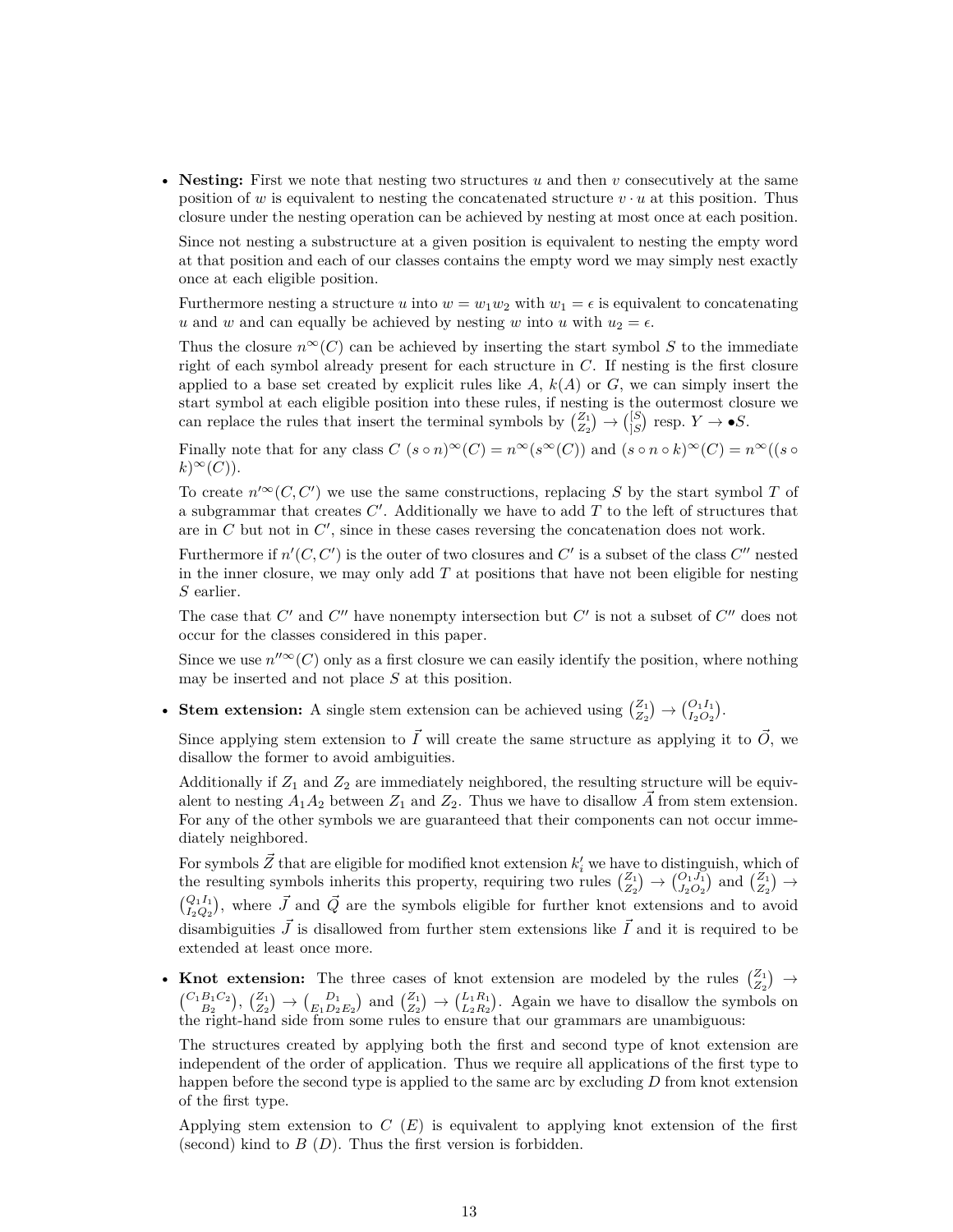• **Nesting:** First we note that nesting two structures *u* and then *v* consecutively at the same position of *w* is equivalent to nesting the concatenated structure  $v \cdot u$  at this position. Thus closure under the nesting operation can be achieved by nesting at most once at each position.

Since not nesting a substructure at a given position is equivalent to nesting the empty word at that position and each of our classes contains the empty word we may simply nest exactly once at each eligible position.

Furthermore nesting a structure *u* into  $w = w_1 w_2$  with  $w_1 = \epsilon$  is equivalent to concatenating *u* and *w* and can equally be achieved by nesting *w* into *u* with  $u_2 = \epsilon$ .

Thus the closure  $n^{\infty}(C)$  can be achieved by inserting the start symbol *S* to the immediate right of each symbol already present for each structure in *C*. If nesting is the first closure applied to a base set created by explicit rules like  $A$ ,  $k(A)$  or  $G$ , we can simply insert the start symbol at each eligible position into these rules, if nesting is the outermost closure we can replace the rules that insert the terminal symbols by  $\binom{Z_1}{Z_2} \rightarrow \binom{[S]}{S}$  $\binom{[S]}{[S]}$  resp.  $Y \to \bullet S$ .

Finally note that for any class  $C$  ( $s \circ n$ )<sup>∞</sup>( $C$ ) =  $n^{\infty}(s^{\infty}(C))$  and  $(s \circ n \circ k)^{\infty}(C) = n^{\infty}((s \circ k)^{\infty}(C))$  $(k)^\infty(C)$ .

To create  $n'^{\infty}(C, C')$  we use the same constructions, replacing S by the start symbol T of a subgrammar that creates  $C'$ . Additionally we have to add  $T$  to the left of structures that are in  $C$  but not in  $C'$ , since in these cases reversing the concatenation does not work.

Furthermore if  $n'(C, C')$  is the outer of two closures and  $C'$  is a subset of the class  $C''$  nested in the inner closure, we may only add *T* at positions that have not been eligible for nesting *S* earlier.

The case that  $C'$  and  $C''$  have nonempty intersection but  $C'$  is not a subset of  $C''$  does not occur for the classes considered in this paper.

Since we use  $n''^{\infty}(C)$  only as a first closure we can easily identify the position, where nothing may be inserted and not place *S* at this position.

• **Stem extension:** A single stem extension can be achieved using  $\begin{pmatrix} Z_1 \\ Z_2 \end{pmatrix} \rightarrow \begin{pmatrix} O_1 I_1 \\ I_2 O_2 \end{pmatrix}$ .

Since applying stem extension to  $\vec{I}$  will create the same structure as applying it to  $\vec{O}$ , we disallow the former to avoid ambiguities.

Additionally if  $Z_1$  and  $Z_2$  are immediately neighbored, the resulting structure will be equivalent to nesting  $A_1A_2$  between  $Z_1$  and  $Z_2$ . Thus we have to disallow A\* from stem extension. For any of the other symbols we are guaranteed that their components can not occur immediately neighbored.

For symbols  $\vec{Z}$  that are eligible for modified knot extension  $k_i'$  we have to distinguish, which of the resulting symbols inherits this property, requiring two rules  $\binom{Z_1}{Z_2} \rightarrow \binom{O_1J_1}{J_2O_2}$  and  $\binom{Z_1}{Z_2} \rightarrow$  $\binom{Q_1 I_1}{I_2 Q_2}$ , where *J* and *Q* are the symbols eligible for further knot extensions and to avoid disambiguities  $\vec{J}$  is disallowed from further stem extensions like  $\vec{I}$  and it is required to be extended at least once more.

• Knot extension: The three cases of knot extension are modeled by the rules  $\binom{Z_1}{Z_2}$   $\rightarrow$  $\binom{C_1B_1C_2}{B_2}, \binom{Z_1}{Z_2} \rightarrow \binom{D_1}{E_1D_2E_2}$  and  $\binom{Z_1}{Z_2} \rightarrow \binom{L_1R_1}{L_2R_2}$ . Again we have to disallow the symbols on the right-hand side from some rules to ensure that our grammars are unambiguous:

The structures created by applying both the first and second type of knot extension are independent of the order of application. Thus we require all applications of the first type to happen before the second type is applied to the same arc by excluding *D* from knot extension of the first type.

Applying stem extension to *C* (*E*) is equivalent to applying knot extension of the first (second) kind to *B* (*D*). Thus the first version is forbidden.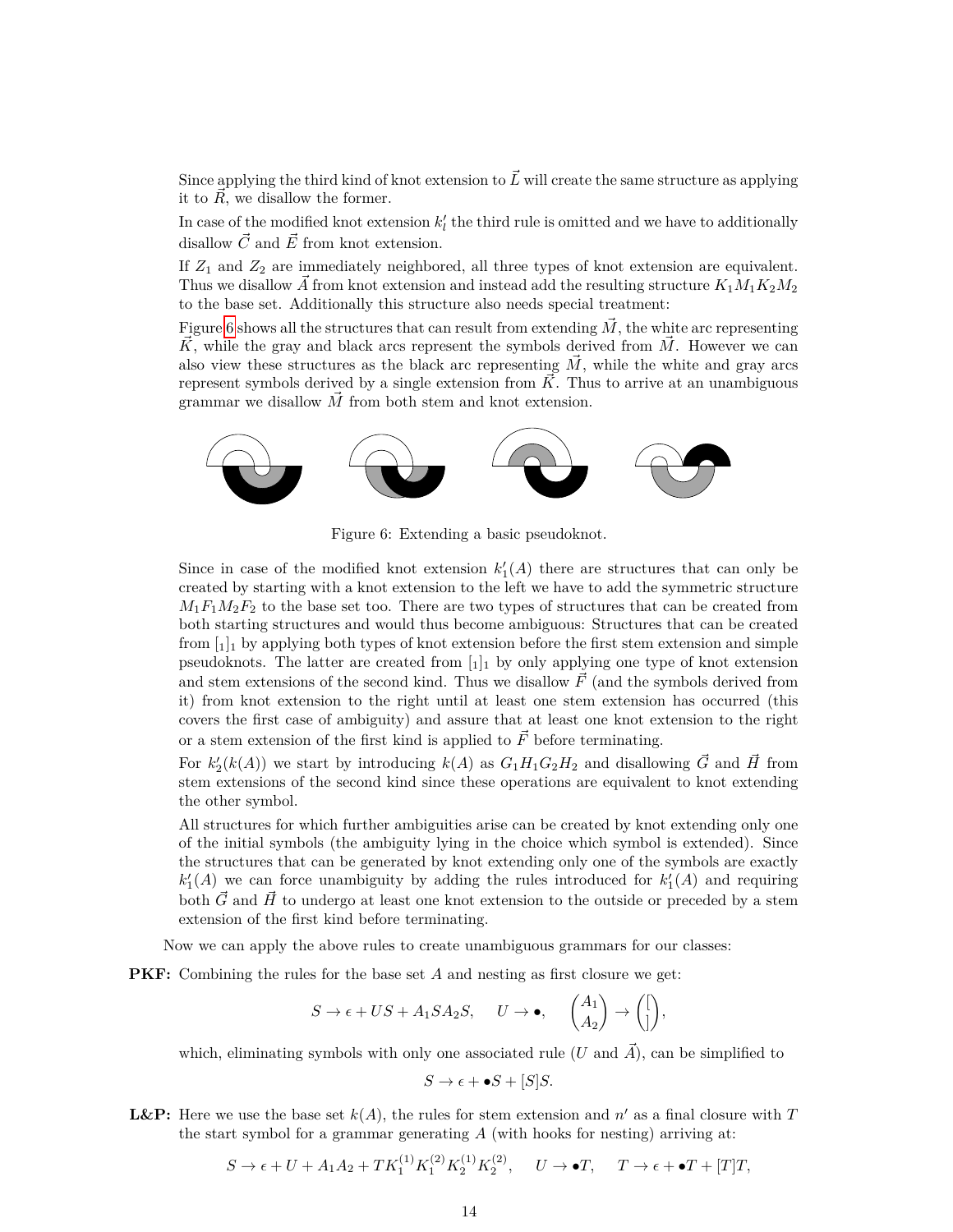Since applying the third kind of knot extension to  $\vec{L}$  will create the same structure as applying it to  $\vec{R}$ , we disallow the former.

In case of the modified knot extension  $k'_{l}$  the third rule is omitted and we have to additionally disallow  $\vec{C}$  and  $\vec{E}$  from knot extension.

If  $Z_1$  and  $Z_2$  are immediately neighbored, all three types of knot extension are equivalent. Thus we disallow  $\vec{A}$  from knot extension and instead add the resulting structure  $K_1M_1K_2M_2$ to the base set. Additionally this structure also needs special treatment:

Figure [6](#page-13-0) shows all the structures that can result from extending  $\vec{M}$ , the white arc representing  $\vec{K}$ , while the gray and black arcs represent the symbols derived from  $\vec{M}$ . However we can also view these structures as the black arc representing  $\vec{M}$ , while the white and gray arcs represent symbols derived by a single extension from  $\tilde{K}$ . Thus to arrive at an unambiguous grammar we disallow  $\overrightarrow{M}$  from both stem and knot extension.



<span id="page-13-0"></span>Figure 6: Extending a basic pseudoknot.

Since in case of the modified knot extension  $k'_{1}(A)$  there are structures that can only be created by starting with a knot extension to the left we have to add the symmetric structure  $M_1F_1M_2F_2$  to the base set too. There are two types of structures that can be created from both starting structures and would thus become ambiguous: Structures that can be created from  $\begin{bmatrix} 1 \\ 1 \end{bmatrix}$  by applying both types of knot extension before the first stem extension and simple pseudoknots. The latter are created from  $\begin{bmatrix} 1 \end{bmatrix}$  by only applying one type of knot extension and stem extensions of the second kind. Thus we disallow  $\vec{F}$  (and the symbols derived from it) from knot extension to the right until at least one stem extension has occurred (this covers the first case of ambiguity) and assure that at least one knot extension to the right or a stem extension of the first kind is applied to  $\vec{F}$  before terminating.

For  $k'_{2}(k(A))$  we start by introducing  $k(A)$  as  $G_1H_1G_2H_2$  and disallowing  $\vec{G}$  and  $\vec{H}$  from stem extensions of the second kind since these operations are equivalent to knot extending the other symbol.

All structures for which further ambiguities arise can be created by knot extending only one of the initial symbols (the ambiguity lying in the choice which symbol is extended). Since the structures that can be generated by knot extending only one of the symbols are exactly  $k_1'(A)$  we can force unambiguity by adding the rules introduced for  $k_1'(A)$  and requiring both  $\vec{G}$  and  $\vec{H}$  to undergo at least one knot extension to the outside or preceded by a stem extension of the first kind before terminating.

Now we can apply the above rules to create unambiguous grammars for our classes:

**PKF:** Combining the rules for the base set *A* and nesting as first closure we get:

$$
S \to \epsilon + US + A_1SA_2S
$$
,  $U \to \bullet$ ,  $\begin{pmatrix} A_1 \\ A_2 \end{pmatrix} \to \begin{pmatrix} \begin{pmatrix} 1 \\ 1 \end{pmatrix}$ ,

which, eliminating symbols with only one associated rule  $(U \text{ and } \vec{A})$ , can be simplified to

 $S \rightarrow \epsilon + \bullet S + [S]S$ .

**L&P:** Here we use the base set  $k(A)$ , the rules for stem extension and  $n'$  as a final closure with T the start symbol for a grammar generating *A* (with hooks for nesting) arriving at:

$$
S \to \epsilon + U + A_1 A_2 + T K_1^{(1)} K_1^{(2)} K_2^{(1)} K_2^{(2)}, \quad U \to \bullet T, \quad T \to \epsilon + \bullet T + [T]T,
$$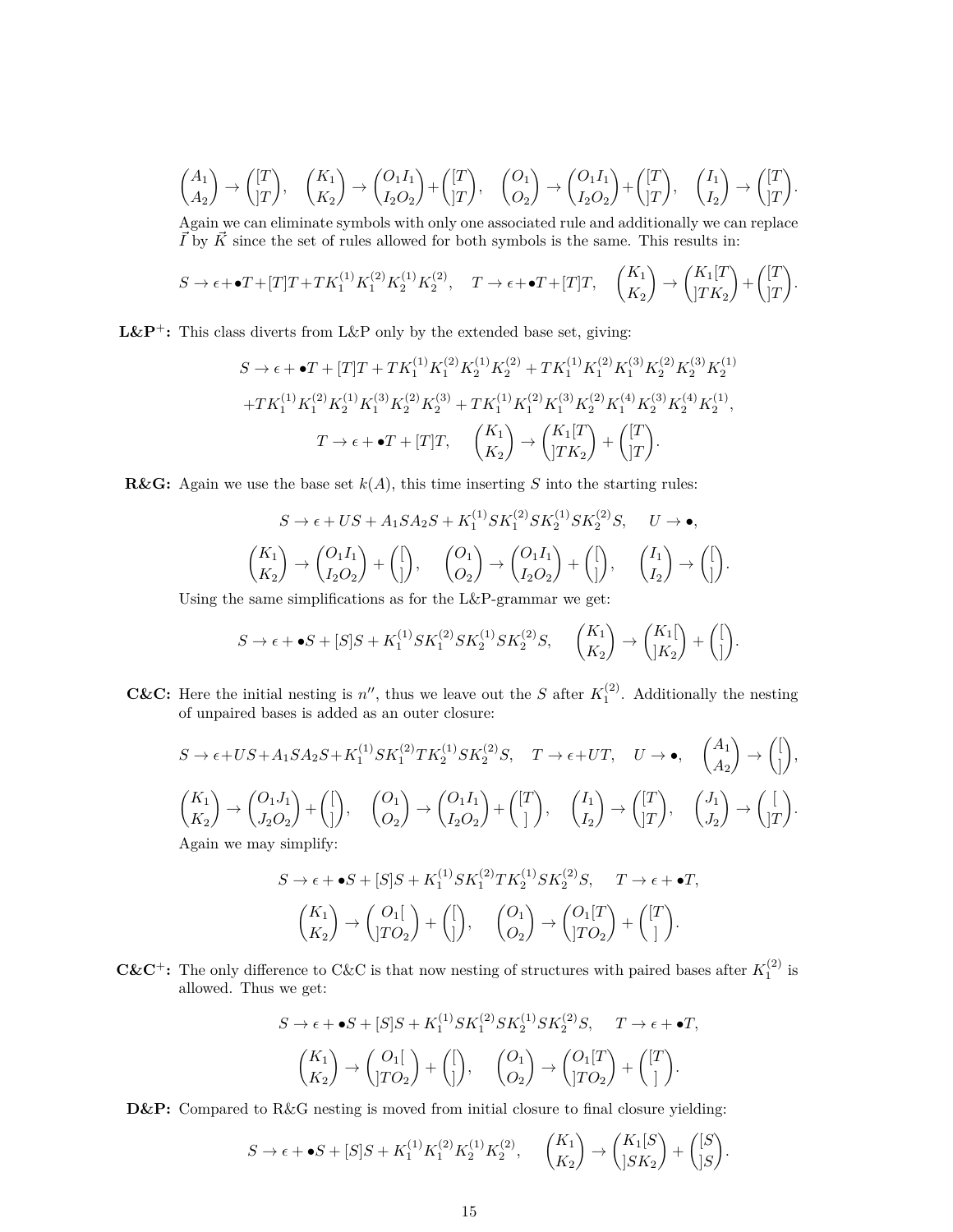$$
\begin{pmatrix} A_1 \\ A_2 \end{pmatrix} \rightarrow \begin{pmatrix} [T] \\ [T] \end{pmatrix}, \quad \begin{pmatrix} K_1 \\ K_2 \end{pmatrix} \rightarrow \begin{pmatrix} O_1 I_1 \\ I_2 O_2 \end{pmatrix} + \begin{pmatrix} [T] \\ [T] \end{pmatrix}, \quad \begin{pmatrix} O_1 \\ O_2 \end{pmatrix} \rightarrow \begin{pmatrix} O_1 I_1 \\ I_2 O_2 \end{pmatrix} + \begin{pmatrix} [T] \\ [T] \end{pmatrix}, \quad \begin{pmatrix} I_1 \\ I_2 \end{pmatrix} \rightarrow \begin{pmatrix} [T] \\ [T] \end{pmatrix}.
$$

Again we can eliminate symbols with only one associated rule and additionally we can replace  $\overrightarrow{I}$  by  $\overrightarrow{K}$  since the set of rules allowed for both symbols is the same. This results in:

$$
S \to \epsilon + \bullet T + [T]T + TK_1^{(1)}K_1^{(2)}K_2^{(1)}K_2^{(2)}, \quad T \to \epsilon + \bullet T + [T]T, \quad {K_1 \choose K_2} \to {K_1[T] \choose jTK_2} + {[T] \choose jT}.
$$

**L&P<sup>+</sup>:** This class diverts from L&P only by the extended base set, giving:

$$
S \to \epsilon + \bullet T + [T]T + TK_1^{(1)}K_1^{(2)}K_2^{(1)}K_2^{(2)} + TK_1^{(1)}K_1^{(2)}K_1^{(3)}K_2^{(2)}K_2^{(3)}K_2^{(1)}
$$

$$
+ TK_1^{(1)}K_1^{(2)}K_2^{(1)}K_1^{(3)}K_2^{(2)}K_2^{(3)} + TK_1^{(1)}K_1^{(2)}K_1^{(3)}K_2^{(2)}K_1^{(4)}K_2^{(3)}K_2^{(4)}K_2^{(1)},
$$

$$
T \to \epsilon + \bullet T + [T]T, \quad {K_1 \choose K_2} \to {K_1[T \choose JTK_2} + {T \choose JT}.
$$

**R&G:** Again we use the base set  $k(A)$ , this time inserting *S* into the starting rules:

$$
S \to \epsilon + US + A_1 S A_2 S + K_1^{(1)} S K_1^{(2)} S K_2^{(1)} S K_2^{(2)} S, \quad U \to \bullet,
$$
  

$$
\begin{pmatrix} K_1 \\ K_2 \end{pmatrix} \to \begin{pmatrix} O_1 I_1 \\ I_2 O_2 \end{pmatrix} + \begin{pmatrix} \begin{pmatrix} 0 \\ 1 \end{pmatrix} \end{pmatrix}, \quad \begin{pmatrix} O_1 I_1 \\ I_2 O_2 \end{pmatrix} + \begin{pmatrix} \begin{pmatrix} 1 \\ 1 \end{pmatrix} \end{pmatrix}, \quad \begin{pmatrix} I_1 \\ I_2 \end{pmatrix} \to \begin{pmatrix} \begin{pmatrix} 1 \\ 1 \end{pmatrix} \end{pmatrix}
$$

*.*

Using the same simplifications as for the L&P-grammar we get:

$$
S \to \epsilon + \bullet S + [S]S + K_1^{(1)} S K_1^{(2)} S K_2^{(1)} S K_2^{(2)} S, \quad {K_1 \choose K_2} \to {K_1 \brack K_2} + {I \brack J}.
$$

**C&C:** Here the initial nesting is  $n''$ , thus we leave out the *S* after  $K_1^{(2)}$ . Additionally the nesting of unpaired bases is added as an outer closure:

$$
S \to \epsilon + US + A_1 S A_2 S + K_1^{(1)} S K_1^{(2)} T K_2^{(1)} S K_2^{(2)} S, \quad T \to \epsilon + UT, \quad U \to \bullet, \quad \begin{pmatrix} A_1 \\ A_2 \end{pmatrix} \to \begin{pmatrix} \begin{bmatrix} \begin{bmatrix} 1 \\ 1 \end{bmatrix} \end{bmatrix}, \\ \begin{pmatrix} K_1 \\ K_2 \end{pmatrix} \to \begin{pmatrix} O_1 J_1 \\ J_2 O_2 \end{pmatrix} + \begin{pmatrix} \begin{bmatrix} 1 \\ 1 \end{bmatrix} \end{pmatrix} \to \begin{pmatrix} O_1 I_1 \\ I_2 O_2 \end{pmatrix} + \begin{pmatrix} \begin{bmatrix} T \\ 1 \end{bmatrix} \end{pmatrix}, \quad \begin{pmatrix} I_1 \\ I_2 \end{pmatrix} \to \begin{pmatrix} \begin{bmatrix} T \\ J_1 \end{bmatrix} \end{pmatrix} \to \begin{pmatrix} \begin{bmatrix} 1 \\ J_2 \end{bmatrix} \end{pmatrix} \to \begin{pmatrix} 1 \\ J_1 T \end{pmatrix}.
$$
\nAgain we may simplify:

$$
S \to \epsilon + \bullet S + [S]S + K_1^{(1)} S K_1^{(2)} T K_2^{(1)} S K_2^{(2)} S, \quad T \to \epsilon + \bullet T,
$$
  

$$
\begin{pmatrix} K_1 \\ K_2 \end{pmatrix} \to \begin{pmatrix} O_1 \\ J \end{pmatrix} + \begin{pmatrix} \begin{pmatrix} \begin{pmatrix} 1 \\ \end{pmatrix} \end{pmatrix}, \quad \begin{pmatrix} O_1 \\ O_2 \end{pmatrix} \to \begin{pmatrix} O_1[T] \\ J O_2 \end{pmatrix} + \begin{pmatrix} [T] \\ ] \end{pmatrix}.
$$

**C&C**<sup>+</sup>: The only difference to C&C is that now nesting of structures with paired bases after  $K_1^{(2)}$  is allowed. Thus we get:

$$
S \to \epsilon + \bullet S + [S]S + K_1^{(1)} S K_1^{(2)} S K_2^{(1)} S K_2^{(2)} S, \quad T \to \epsilon + \bullet T,
$$

$$
\begin{pmatrix} K_1 \\ K_2 \end{pmatrix} \to \begin{pmatrix} O_1 \\ J \end{pmatrix} + \begin{pmatrix} \begin{pmatrix} \begin{pmatrix} 1 \\ \end{pmatrix} \end{pmatrix}, \quad \begin{pmatrix} O_1 \\ O_2 \end{pmatrix} \to \begin{pmatrix} O_1[T] \\ J \end{pmatrix} + \begin{pmatrix} [T] \\ ] \end{pmatrix}.
$$

**D&P:** Compared to R&G nesting is moved from initial closure to final closure yielding:

$$
S \to \epsilon + \bullet S + [S]S + K_1^{(1)} K_1^{(2)} K_2^{(1)} K_2^{(2)}, \quad {K_1 \choose K_2} \to {K_1[S] \choose |SK_2} + {[S] \choose |S}.
$$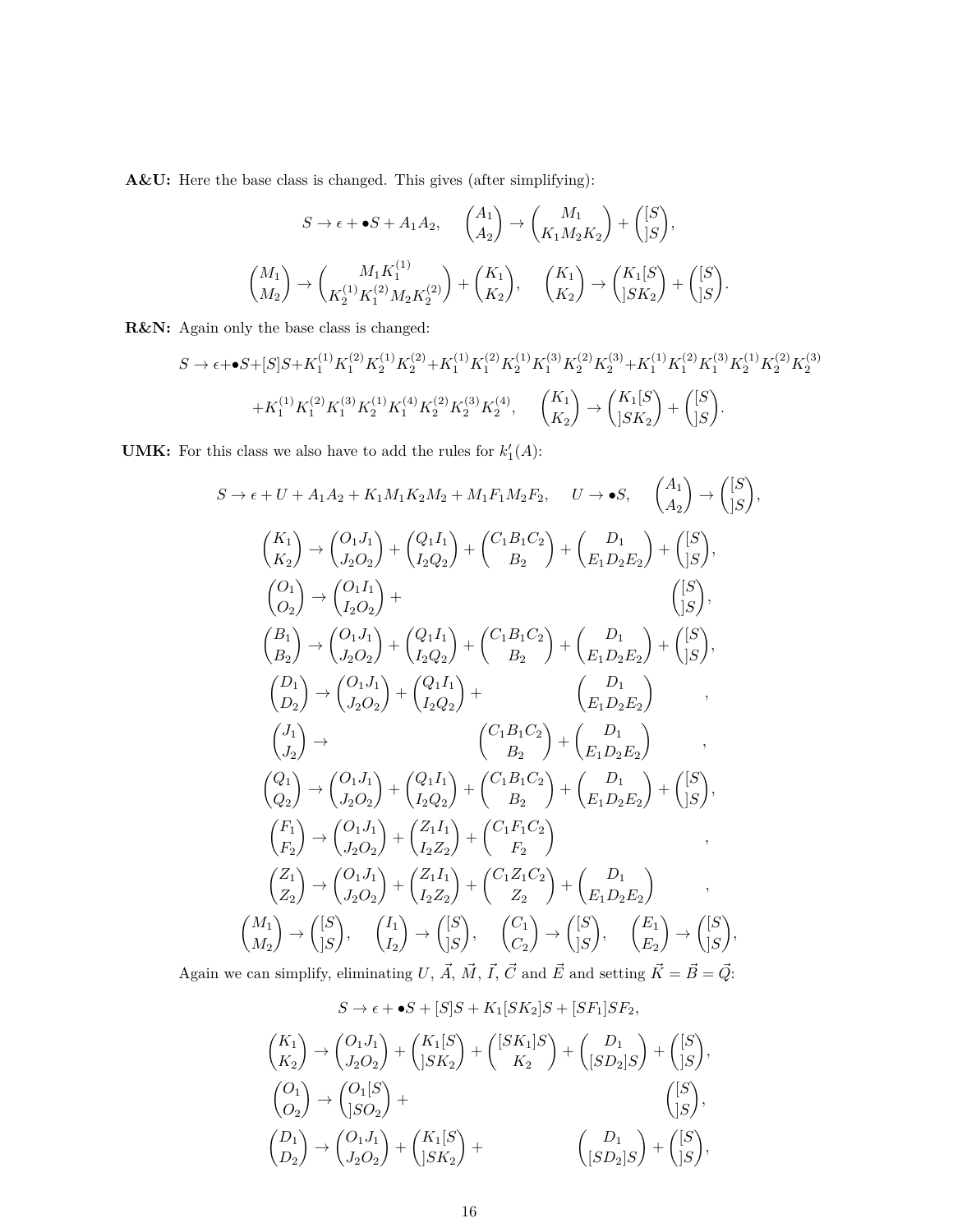**A&U:** Here the base class is changed. This gives (after simplifying):

$$
S \to \epsilon + \bullet S + A_1 A_2, \quad \begin{pmatrix} A_1 \\ A_2 \end{pmatrix} \to \begin{pmatrix} M_1 \\ K_1 M_2 K_2 \end{pmatrix} + \begin{pmatrix} [S] \\ [S] \end{pmatrix},
$$

$$
\begin{pmatrix} M_1 \\ M_2 \end{pmatrix} \to \begin{pmatrix} M_1 K_1^{(1)} \\ K_2^{(1)} K_1^{(2)} M_2 K_2^{(2)} \end{pmatrix} + \begin{pmatrix} K_1 \\ K_2 \end{pmatrix}, \quad \begin{pmatrix} K_1 \\ K_2 \end{pmatrix} \to \begin{pmatrix} K_1 [S] \\ [S K_2 \end{pmatrix} + \begin{pmatrix} [S] \\ [S] \end{pmatrix}.
$$

**R&N:** Again only the base class is changed:

$$
\begin{split} S\rightarrow \epsilon + \bullet S + [S] S + K_1^{(1)} K_1^{(2)} K_2^{(1)} K_2^{(2)} + K_1^{(1)} K_1^{(2)} K_2^{(1)} K_1^{(3)} K_2^{(2)} K_2^{(3)} + K_1^{(1)} K_1^{(2)} K_2^{(3)} K_2^{(1)} K_2^{(2)} K_2^{(3)} \\ + K_1^{(1)} K_1^{(2)} K_1^{(3)} K_2^{(1)} K_1^{(4)} K_2^{(2)} K_2^{(3)} K_2^{(4)}, \quad \begin{pmatrix} K_1 \\ K_2 \end{pmatrix} \rightarrow \begin{pmatrix} K_1[S \\ SK_2 \end{pmatrix} + \begin{pmatrix} [S] \\ S \end{pmatrix}. \end{split}
$$

**UMK:** For this class we also have to add the rules for  $k'_1(A)$ :

$$
S \rightarrow \epsilon + U + A_1 A_2 + K_1 M_1 K_2 M_2 + M_1 F_1 M_2 F_2, \quad U \rightarrow \bullet S, \quad \begin{pmatrix} A_1 \\ A_2 \end{pmatrix} \rightarrow \begin{pmatrix} [S] \\ [S] \end{pmatrix},
$$
  
\n
$$
\begin{pmatrix} K_1 \\ K_2 \end{pmatrix} \rightarrow \begin{pmatrix} O_1 J_1 \\ J_2 O_2 \end{pmatrix} + \begin{pmatrix} Q_1 I_1 \\ I_2 Q_2 \end{pmatrix} + \begin{pmatrix} C_1 B_1 C_2 \\ B_2 \end{pmatrix} + \begin{pmatrix} D_1 \\ E_1 D_2 E_2 \end{pmatrix} + \begin{pmatrix} [S] \\ [S] \end{pmatrix},
$$
  
\n
$$
\begin{pmatrix} O_1 \\ O_2 \end{pmatrix} \rightarrow \begin{pmatrix} O_1 I_1 \\ I_2 O_2 \end{pmatrix} + \begin{pmatrix} Q_1 I_1 \\ I_2 Q_2 \end{pmatrix} + \begin{pmatrix} C_1 B_1 C_2 \\ B_2 \end{pmatrix} + \begin{pmatrix} D_1 \\ E_1 D_2 E_2 \end{pmatrix} + \begin{pmatrix} [S] \\ [S] \end{pmatrix},
$$
  
\n
$$
\begin{pmatrix} D_1 \\ D_2 \end{pmatrix} \rightarrow \begin{pmatrix} O_1 J_1 \\ J_2 O_2 \end{pmatrix} + \begin{pmatrix} Q_1 I_1 \\ I_2 Q_2 \end{pmatrix} + \begin{pmatrix} C_1 B_1 C_2 \\ B_2 \end{pmatrix} + \begin{pmatrix} D_1 \\ E_1 D_2 E_2 \end{pmatrix},
$$
  
\n
$$
\begin{pmatrix} J_1 \\ J_2 \end{pmatrix} \rightarrow \begin{pmatrix} O_1 J_1 \\ J_2 O_2 \end{pmatrix} + \begin{pmatrix} Q_1 I_1 \\ I_2 Q_2 \end{pmatrix} + \begin{pmatrix} C_1 B_1 C_2 \\ B_2 \end{pmatrix} + \begin{pmatrix} D_1 \\ E_1 D_2 E_2 \end{pmatrix},
$$
  
\n
$$
\begin{pmatrix} Q_1 \\ Q_2 \end{pmatrix} \rightarrow \begin{pmatrix} O_1 J_1 \\ J_2 O_2 \end{pmatrix} + \begin{pmatrix} Q_1 I_1 \\ I_2 Q_2 \end{pmatrix} + \begin{
$$

Again we can simplify, eliminating U,  $\vec{A}$ ,  $\vec{M}$ ,  $\vec{I}$ ,  $\vec{C}$  and  $\vec{E}$  and setting  $\vec{K} = \vec{B} = \vec{Q}$ .

$$
S \to \epsilon + \bullet S + [S]S + K_1[SK_2]S + [SF_1]SF_2,
$$
  
\n
$$
\begin{pmatrix} K_1 \\ K_2 \end{pmatrix} \to \begin{pmatrix} O_1J_1 \\ J_2O_2 \end{pmatrix} + \begin{pmatrix} K_1[S] \\ jSK_2 \end{pmatrix} + \begin{pmatrix} [SK_1]S \\ K_2 \end{pmatrix} + \begin{pmatrix} D_1 \\ [SD_2]S \end{pmatrix} + \begin{pmatrix} [S] \\ jS \end{pmatrix},
$$
  
\n
$$
\begin{pmatrix} O_1 \\ O_2 \end{pmatrix} \to \begin{pmatrix} O_1[S] \\ jSO_2 \end{pmatrix} + \begin{pmatrix} K_1[S] \\ jSK_2 \end{pmatrix} + \begin{pmatrix} D_1 \\ [SD_2]S \end{pmatrix} + \begin{pmatrix} [S] \\ [S] \end{pmatrix},
$$
  
\n
$$
\begin{pmatrix} D_1 \\ D_2 \end{pmatrix} \to \begin{pmatrix} O_1J_1 \\ J_2O_2 \end{pmatrix} + \begin{pmatrix} K_1[S] \\ jSK_2 \end{pmatrix} + \begin{pmatrix} D_1 \\ [SD_2]S \end{pmatrix} + \begin{pmatrix} [S] \\ jS \end{pmatrix},
$$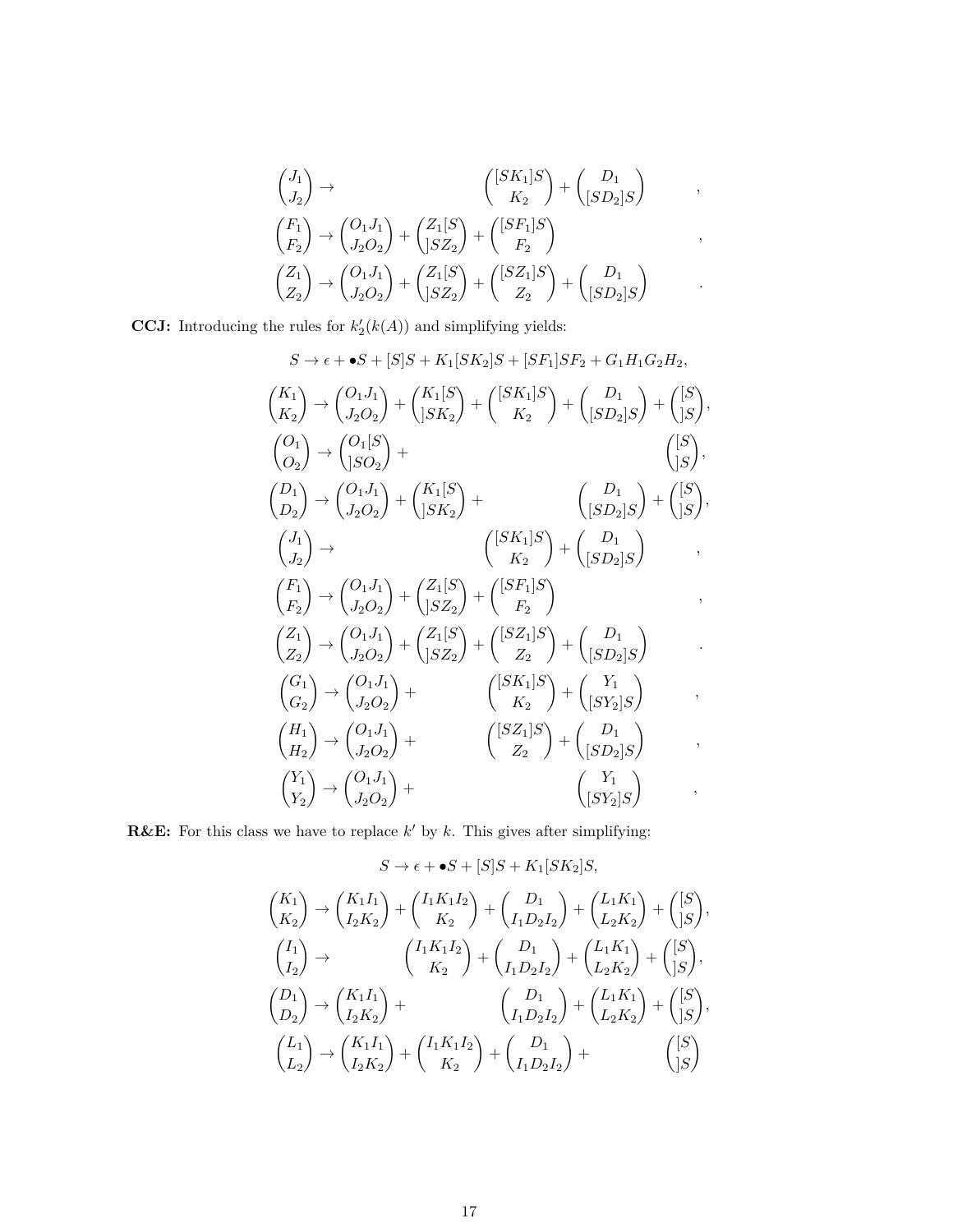$$
\begin{pmatrix}\nJ_1 \\
J_2\n\end{pmatrix} \rightarrow\n\begin{pmatrix}\n[SK_1]S \\
K_2\n\end{pmatrix} + \begin{pmatrix}\nD_1 \\
[SD_2]S\n\end{pmatrix},
$$
\n
$$
\begin{pmatrix}\nF_1 \\
F_2\n\end{pmatrix} \rightarrow\n\begin{pmatrix}\nO_1 J_1 \\
J_2 O_2\n\end{pmatrix} + \begin{pmatrix}\nZ_1[S \\
]SZ_2\n\end{pmatrix} + \begin{pmatrix}\n[SF_1]S \\
F_2\n\end{pmatrix},
$$
\n
$$
\begin{pmatrix}\nZ_1 \\
Z_2\n\end{pmatrix} \rightarrow\n\begin{pmatrix}\nO_1 J_1 \\
J_2 O_2\n\end{pmatrix} + \begin{pmatrix}\nZ_1[S \\
]SZ_2\n\end{pmatrix} + \begin{pmatrix}\n[SZ_1]S \\
Z_2\n\end{pmatrix} + \begin{pmatrix}\nD_1 \\
[SD_2]S\n\end{pmatrix}.
$$

**CCJ:** Introducing the rules for  $k'_{2}(k(A))$  and simplifying yields:

$$
S \rightarrow \epsilon + \bullet S + [S]S + K_1[SK_2]S + [SF_1]SF_2 + G_1H_1G_2H_2,
$$
  
\n
$$
\binom{K_1}{K_2} \rightarrow \binom{O_1J_1}{J_2O_2} + \binom{K_1[S]}{[SK_2]} + \binom{[SK_1]S}{K_2} + \binom{D_1}{[SD_2]S} + \binom{[S]}{[S]},
$$
  
\n
$$
\binom{O_1}{O_2} \rightarrow \binom{O_1[S]}{J_2O_2} + \binom{K_1[S]}{[SK_2]} + \binom{D_1}{[SD_2]S} + \binom{[S]}{[S]},
$$
  
\n
$$
\binom{J_1}{J_2} \rightarrow \binom{O_1J_1}{J_2O_2} + \binom{K_1[S]}{[SK_2]} + \binom{D_1}{[SD_2]S} + \binom{[S]}{[S]},
$$
  
\n
$$
\binom{F_1}{F_2} \rightarrow \binom{O_1J_1}{J_2O_2} + \binom{Z_1[S]}{[SZ_2]} + \binom{[SF_1]S}{F_2} + \binom{D_1}{[SD_2]S},
$$
  
\n
$$
\binom{Z_1}{Z_2} \rightarrow \binom{O_1J_1}{J_2O_2} + \binom{Z_1[S]}{[SZ_2]} + \binom{[SZ_1]S}{Z_2} + \binom{D_1}{[SD_2]S},
$$
  
\n
$$
\binom{G_1}{G_2} \rightarrow \binom{O_1J_1}{J_2O_2} + \binom{[SK_1]S}{K_2} + \binom{V_1}{[SY_2]S},
$$
  
\n
$$
\binom{H_1}{H_2} \rightarrow \binom{O_1J_1}{J_2O_2} + \binom{[SK_1]S}{K_2} + \binom{V_1}{[SP_2]S},
$$
  
\n
$$
\binom{V_1}{Y_2} \rightarrow \binom{O_1J_1}{J_2O_2} + \binom{[SZ_1]S}{Z_2} + \binom{D_1}{[SD_2]S},
$$
  
\n
$$
\binom{V_1}{Y_2} \rightarrow \binom{O
$$

**R&E:** For this class we have to replace  $k'$  by  $k$ . This gives after simplifying:

$$
S \to \epsilon + \bullet S + [S]S + K_1[SK_2]S,
$$
  
\n
$$
\binom{K_1}{K_2} \to \binom{K_1I_1}{I_2K_2} + \binom{I_1K_1I_2}{K_2} + \binom{D_1}{I_1D_2I_2} + \binom{L_1K_1}{L_2K_2} + \binom{[S]}{[S]},
$$
  
\n
$$
\binom{I_1}{I_2} \to \binom{I_1K_1I_2}{K_2} + \binom{D_1}{I_1D_2I_2} + \binom{L_1K_1}{L_2K_2} + \binom{[S]}{[S]},
$$
  
\n
$$
\binom{D_1}{D_2} \to \binom{K_1I_1}{I_2K_2} + \binom{D_1}{I_1D_2I_2} + \binom{L_1K_1}{L_2K_2} + \binom{[S]}{[S]},
$$
  
\n
$$
\binom{L_1}{L_2} \to \binom{K_1I_1}{I_2K_2} + \binom{I_1K_1I_2}{K_2} + \binom{D_1}{I_1D_2I_2} + \binom{[S]}{I_1D_2I_2} + \binom{[S]}{I_2}
$$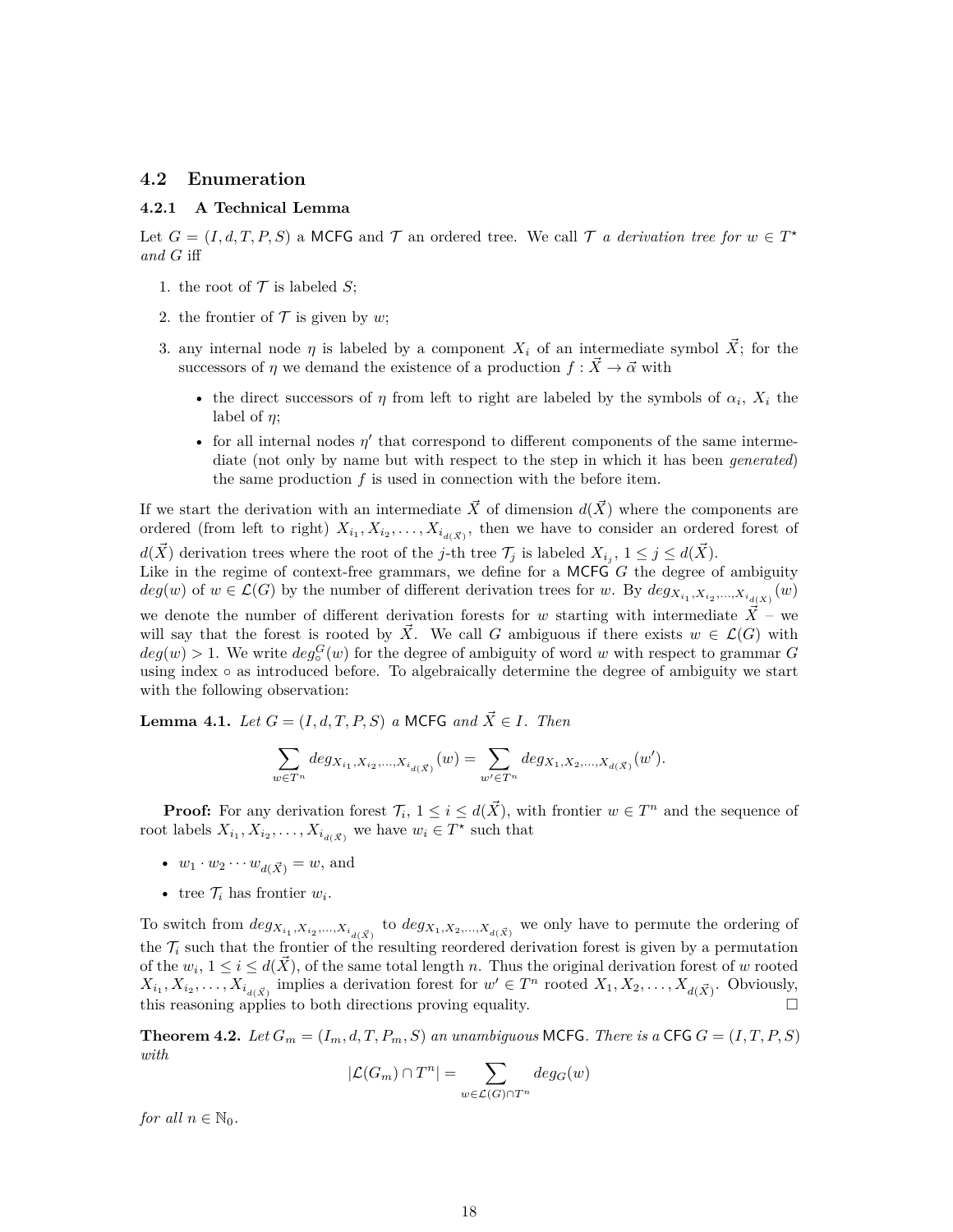### **4.2 Enumeration**

#### **4.2.1 A Technical Lemma**

Let  $G = (I, d, T, P, S)$  a MCFG and  $\mathcal{T}$  an ordered tree. We call  $\mathcal{T}$  *a derivation tree for*  $w \in T^*$ *and G* iff

- 1. the root of  $\mathcal T$  is labeled *S*;
- 2. the frontier of  $\mathcal T$  is given by *w*;
- 3. any internal node  $\eta$  is labeled by a component  $X_i$  of an intermediate symbol  $\tilde{X}$ ; for the successors of *η* we demand the existence of a production  $f : \vec{X} \to \vec{\alpha}$  with
	- the direct successors of  $\eta$  from left to right are labeled by the symbols of  $\alpha_i$ ,  $X_i$  the label of *η*;
	- for all internal nodes  $\eta'$  that correspond to different components of the same intermediate (not only by name but with respect to the step in which it has been *generated*) the same production  $f$  is used in connection with the before item.

If we start the derivation with an intermediate  $\vec{X}$  of dimension  $d(\vec{X})$  where the components are ordered (from left to right)  $X_{i_1}, X_{i_2}, \ldots, X_{i_{d(\vec{X})}}$ , then we have to consider an ordered forest of *d*( $\vec{X}$ ) derivation trees where the root of the *j*-th tree  $\mathcal{T}_j$  is labeled  $X_{i_j}$ ,  $1 \leq j \leq d(\vec{X})$ . Like in the regime of context-free grammars, we define for a MCFG *G* the degree of ambiguity  $deg(w)$  of  $w \in \mathcal{L}(G)$  by the number of different derivation trees for *w*. By  $deg_{X_{i_1}, X_{i_2},...,X_{i_{d(X)}}}(w)$ we denote the number of different derivation forests for *w* starting with intermediate  $\vec{X}$  – we will say that the forest is rooted by  $\vec{X}$ . We call *G* ambiguous if there exists  $w \in \mathcal{L}(G)$  with  $deg(w) > 1$ . We write  $deg_0^G(w)$  for the degree of ambiguity of word *w* with respect to grammar *G* using index ◦ as introduced before. To algebraically determine the degree of ambiguity we start with the following observation:

**Lemma 4.1.** *Let*  $G = (I, d, T, P, S)$  *a* MCFG *and*  $\vec{X} \in I$ *. Then* 

$$
\sum_{w\in T^n}deg_{X_{i_1},X_{i_2},...,X_{i_{d(\vec{X})}}}(w)=\sum_{w'\in T^n}deg_{X_1,X_2,...,X_{d(\vec{X})}}(w').
$$

**Proof:** For any derivation forest  $\mathcal{T}_i$ ,  $1 \leq i \leq d(\vec{X})$ , with frontier  $w \in T^n$  and the sequence of root labels  $X_{i_1}, X_{i_2}, \ldots, X_{i_{d(\vec{X})}}$  we have  $w_i \in T^*$  such that

- $w_1 \cdot w_2 \cdots w_{d(\vec{X})} = w$ , and
- tree  $\mathcal{T}_i$  has frontier  $w_i$ .

To switch from  $deg_{X_{i_1}, X_{i_2},...,X_{i_{d(\vec{X})}}}$  to  $deg_{X_1, X_2,...,X_{d(\vec{X})}}$  we only have to permute the ordering of the  $\mathcal{T}_i$  such that the frontier of the resulting reordered derivation forest is given by a permutation of the  $w_i$ ,  $1 \leq i \leq d(\vec{X})$ , of the same total length *n*. Thus the original derivation forest of *w* rooted  $X_{i_1}, X_{i_2}, \ldots, X_{i_{d(\vec{X})}}$  implies a derivation forest for  $w' \in T^n$  rooted  $X_1, X_2, \ldots, X_{d(\vec{X})}$ . Obviously, this reasoning applies to both directions proving equality.

**Theorem 4.2.** *Let*  $G_m = (I_m, d, T, P_m, S)$  *an unambiguous* MCFG*. There is a* CFG  $G = (I, T, P, S)$ *with*

$$
|\mathcal{L}(G_m) \cap T^n| = \sum_{w \in \mathcal{L}(G) \cap T^n} deg_G(w)
$$

*for all*  $n \in \mathbb{N}_0$ *.*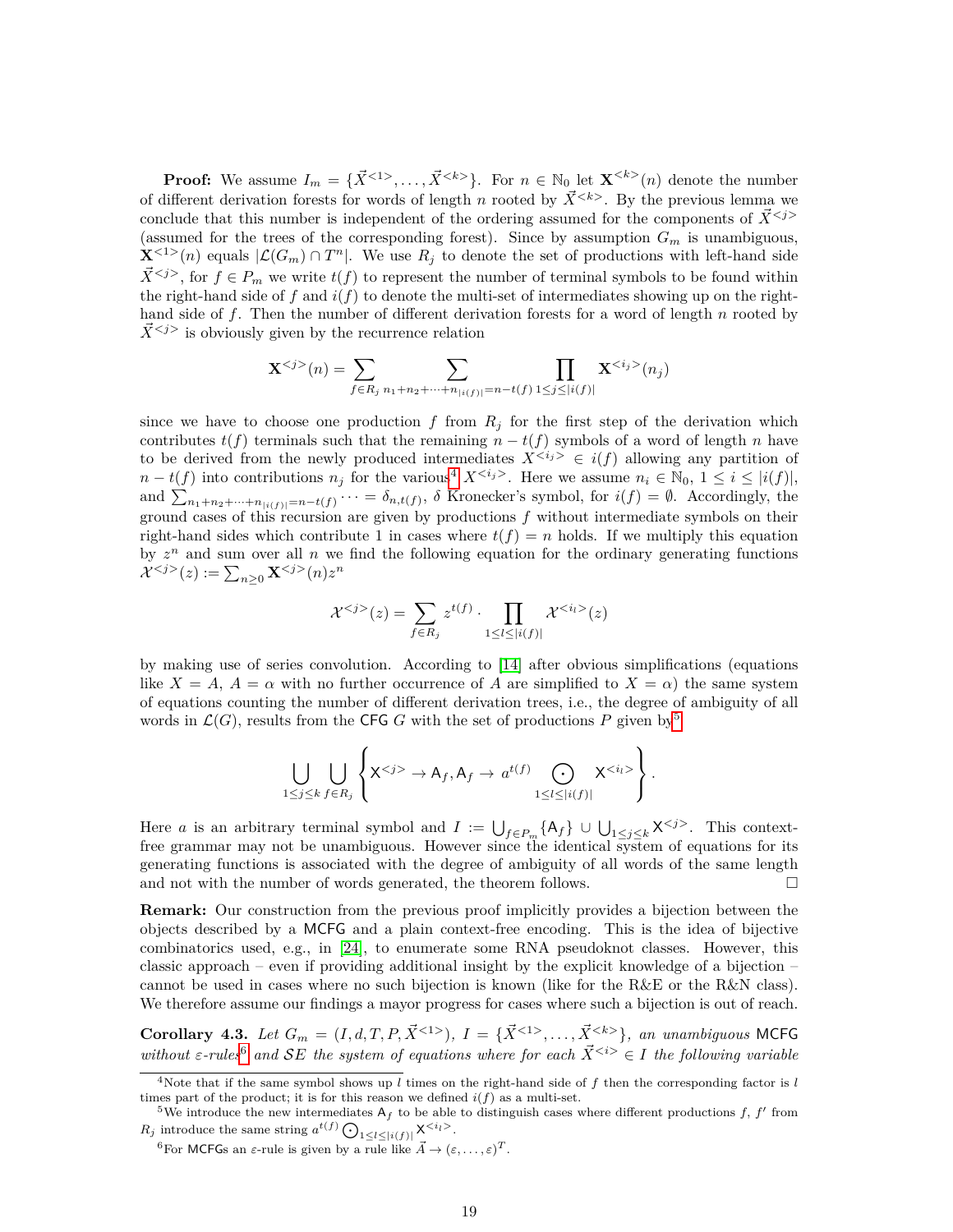**Proof:** We assume  $I_m = {\{\vec{X}^{<1>}, \ldots, \vec{X}^{}}\}$ . For  $n \in \mathbb{N}_0$  let  $\mathbf{X}^{}(n)$  denote the number of different derivation forests for words of length *n* rooted by  $\vec{X}^{< k>}\!$ . By the previous lemma we conclude that this number is independent of the ordering assumed for the components of  $\vec{X}^{}$ (assumed for the trees of the corresponding forest). Since by assumption  $G_m$  is unambiguous,  $\mathbf{X}^{1}(n)$  equals  $|\mathcal{L}(G_m) \cap T^n|$ . We use  $R_j$  to denote the set of productions with left-hand side  $\bar{X}^{< j>}$ , for  $f \in P_m$  we write  $t(f)$  to represent the number of terminal symbols to be found within the right-hand side of  $f$  and  $i(f)$  to denote the multi-set of intermediates showing up on the righthand side of *f*. Then the number of different derivation forests for a word of length *n* rooted by  $\overline{X}^{< j>}$  is obviously given by the recurrence relation

$$
\mathbf{X}^{< j>}(n) = \sum_{f \in R_j} \sum_{n_1 + n_2 + \dots + n_{|i(f)|} = n - t(f)} \prod_{1 \le j \le |i(f)|} \mathbf{X}^{< i_j>}(n_j)
$$

since we have to choose one production  $f$  from  $R_j$  for the first step of the derivation which contributes  $t(f)$  terminals such that the remaining  $n - t(f)$  symbols of a word of length *n* have to be derived from the newly produced intermediates  $X^{<} j^{\geq} \in i(f)$  allowing any partition of  $n - t(f)$  into contributions  $n_j$  for the various<sup>[4](#page-18-0)</sup>  $X^{< i_j}$ . Here we assume  $n_i \in \mathbb{N}_0$ ,  $1 \leq i \leq |i(f)|$ , and  $\sum_{n_1+n_2+\cdots+n_{|i(f)|}=n-t(f)}\cdots = \delta_{n,t(f)},$   $\delta$  Kronecker's symbol, for  $i(f) = \emptyset$ . Accordingly, the ground cases of this recursion are given by productions *f* without intermediate symbols on their right-hand sides which contribute 1 in cases where  $t(f) = n$  holds. If we multiply this equation by  $z^n$  and sum over all  $n$  we find the following equation for the ordinary generating functions  $\mathcal{X}^{}(z) := \sum_{n\geq 0} \mathbf{X}^{}(n) z^n$ 

$$
\mathcal{X}^{< j>(z) = \sum_{f \in R_j} z^{t(f)} \cdot \prod_{1 \leq l \leq |i(f)|} \mathcal{X}^{< i_l>(z)}
$$

by making use of series convolution. According to [\[14\]](#page-21-15) after obvious simplifications (equations like  $X = A$ ,  $A = \alpha$  with no further occurrence of A are simplified to  $X = \alpha$ ) the same system of equations counting the number of different derivation trees, i.e., the degree of ambiguity of all words in  $\mathcal{L}(G)$ , results from the CFG G with the set of productions P given by<sup>[5](#page-18-1)</sup>

$$
\bigcup_{1 \leq j \leq k} \bigcup_{f \in R_j} \left\{ X^{< j>} \to A_f, A_f \to a^{t(f)} \bigodot_{1 \leq l \leq |i(f)|} X^{< i_l>}\right\}
$$

*.*

Here *a* is an arbitrary terminal symbol and  $I := \bigcup_{f \in P_m} \{A_f\} \cup \bigcup_{1 \leq j \leq k} X^{\langle j \rangle}$ . This contextfree grammar may not be unambiguous. However since the identical system of equations for its generating functions is associated with the degree of ambiguity of all words of the same length and not with the number of words generated, the theorem follows.  $\Box$ 

**Remark:** Our construction from the previous proof implicitly provides a bijection between the objects described by a MCFG and a plain context-free encoding. This is the idea of bijective combinatorics used, e.g., in [\[24\]](#page-22-9), to enumerate some RNA pseudoknot classes. However, this classic approach – even if providing additional insight by the explicit knowledge of a bijection – cannot be used in cases where no such bijection is known (like for the R&E or the R&N class). We therefore assume our findings a mayor progress for cases where such a bijection is out of reach.

<span id="page-18-3"></span>**Corollary 4.3.** Let  $G_m = (I, d, T, P, \vec{X}^{<1>})$ ,  $I = {\{\vec{X}^{<1>}, \dots, \vec{X}^{}}\}$ , an unambiguous MCFG *without*  $\epsilon$ -rules<sup>[6](#page-18-2)</sup> and SE the system of equations where for each  $\vec{X}^{< i>}\in I$  the following variable

<span id="page-18-0"></span><sup>4</sup>Note that if the same symbol shows up *l* times on the right-hand side of *f* then the corresponding factor is *l* times part of the product; it is for this reason we defined  $i(f)$  as a multi-set.

<span id="page-18-1"></span><sup>&</sup>lt;sup>5</sup>We introduce the new intermediates  $A_f$  to be able to distinguish cases where different productions f, f' from  $R_j$  introduce the same string  $a^{t(f)} \bigodot_{1 \leq l \leq |i(f)|} X^{\langle i_l \rangle}$ .

<span id="page-18-2"></span><sup>&</sup>lt;sup>6</sup>For MCFGs an *ε*-rule is given by a rule like  $\vec{A} \rightarrow (\varepsilon, \dots, \varepsilon)^T$ .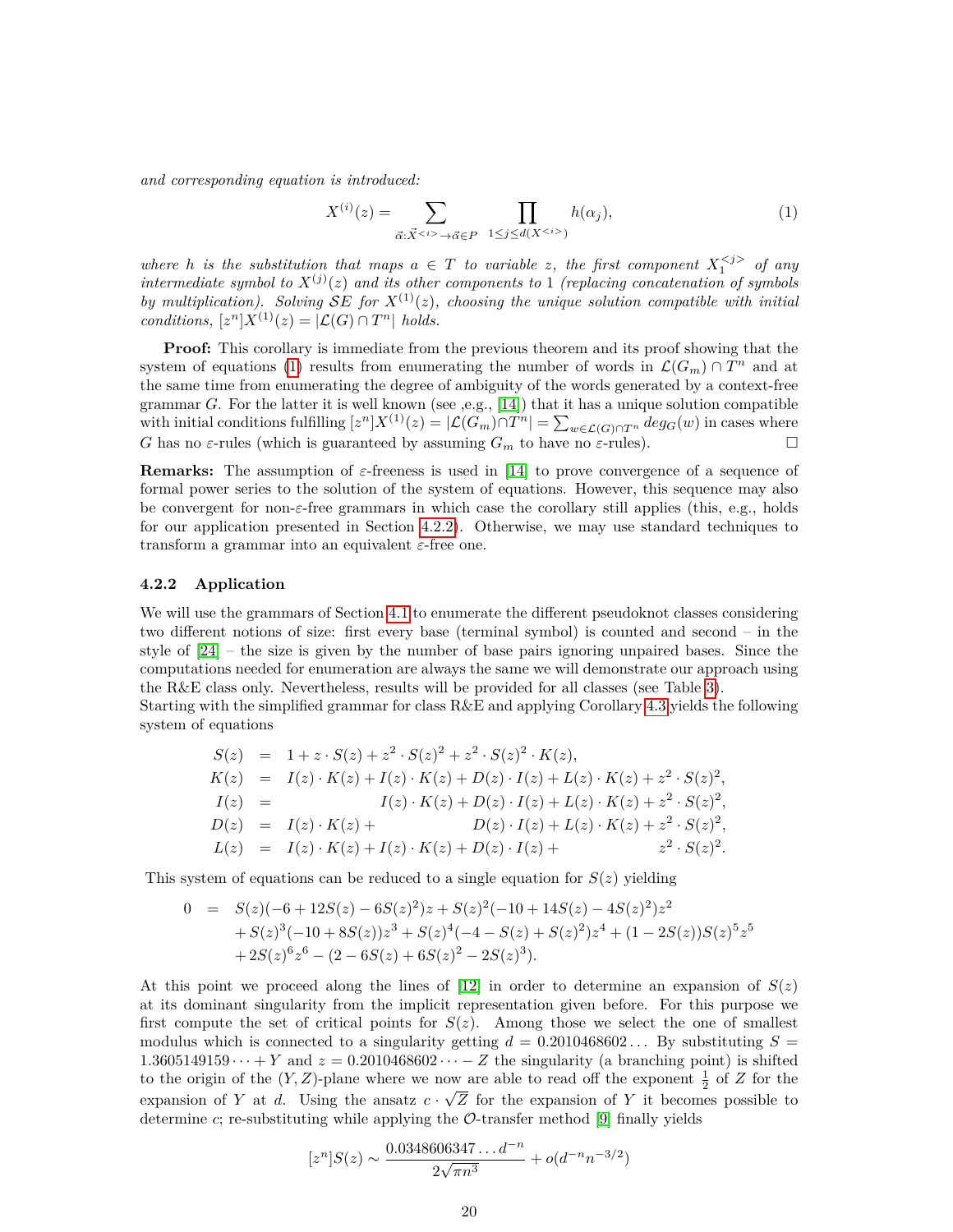*and corresponding equation is introduced:*

<span id="page-19-0"></span>
$$
X^{(i)}(z) = \sum_{\vec{\alpha}: \vec{X}^{}\to \vec{\alpha} \in P} \prod_{1 \le j \le d(X^{})} h(\alpha_j), \tag{1}
$$

*where h is the substitution that maps*  $a \in T$  *to variable z, the first component*  $X_1^{*j*}$  *of any intermediate symbol to*  $X^{(j)}(z)$  *and its other components to* 1 *(replacing concatenation of symbols by multiplication). Solving*  $\mathcal{S}E$  *for*  $X^{(1)}(z)$ *, choosing the unique solution compatible with initial conditions,*  $[z^n]X^{(1)}(z) = |\mathcal{L}(G) \cap T^n|$  *holds.* 

**Proof:** This corollary is immediate from the previous theorem and its proof showing that the system of equations [\(1\)](#page-19-0) results from enumerating the number of words in  $\mathcal{L}(G_m) \cap T^n$  and at the same time from enumerating the degree of ambiguity of the words generated by a context-free grammar *G*. For the latter it is well known (see ,e.g., [\[14\]](#page-21-15)) that it has a unique solution compatible with initial conditions fulfilling  $[z^n]X^{(1)}(z) = |\mathcal{L}(G_m) \cap T^n| = \sum_{w \in \mathcal{L}(G) \cap T^n} deg_G(w)$  in cases where *G* has no *ε*-rules (which is guaranteed by assuming  $G_m$  to have no *ε*-rules).

**Remarks:** The assumption of *ε*-freeness is used in [\[14\]](#page-21-15) to prove convergence of a sequence of formal power series to the solution of the system of equations. However, this sequence may also be convergent for non-*ε*-free grammars in which case the corollary still applies (this, e.g., holds for our application presented in Section [4.2.2\)](#page-19-1). Otherwise, we may use standard techniques to transform a grammar into an equivalent *ε*-free one.

#### <span id="page-19-1"></span>**4.2.2 Application**

We will use the grammars of Section [4.1](#page-11-0) to enumerate the different pseudoknot classes considering two different notions of size: first every base (terminal symbol) is counted and second – in the style of [\[24\]](#page-22-9) – the size is given by the number of base pairs ignoring unpaired bases. Since the computations needed for enumeration are always the same we will demonstrate our approach using the R&E class only. Nevertheless, results will be provided for all classes (see Table [3\)](#page-20-0).

Starting with the simplified grammar for class R&E and applying Corollary [4.3](#page-18-3) yields the following system of equations

$$
S(z) = 1 + z \cdot S(z) + z^2 \cdot S(z)^2 + z^2 \cdot S(z)^2 \cdot K(z),
$$
  
\n
$$
K(z) = I(z) \cdot K(z) + I(z) \cdot K(z) + D(z) \cdot I(z) + L(z) \cdot K(z) + z^2 \cdot S(z)^2,
$$
  
\n
$$
I(z) = I(z) \cdot K(z) + D(z) \cdot I(z) + L(z) \cdot K(z) + z^2 \cdot S(z)^2,
$$
  
\n
$$
D(z) = I(z) \cdot K(z) + D(z) \cdot I(z) + L(z) \cdot K(z) + z^2 \cdot S(z)^2,
$$
  
\n
$$
L(z) = I(z) \cdot K(z) + I(z) \cdot K(z) + D(z) \cdot I(z) + z^2 \cdot S(z)^2.
$$

This system of equations can be reduced to a single equation for  $S(z)$  yielding

$$
0 = S(z)(-6+12S(z)-6S(z)^{2})z+S(z)^{2}(-10+14S(z)-4S(z)^{2})z^{2}+S(z)^{3}(-10+8S(z))z^{3}+S(z)^{4}(-4-S(z)+S(z)^{2})z^{4}+(1-2S(z))S(z)^{5}z^{5}+2S(z)^{6}z^{6}-(2-6S(z)+6S(z)^{2}-2S(z)^{3}).
$$

At this point we proceed along the lines of  $[12]$  in order to determine an expansion of  $S(z)$ at its dominant singularity from the implicit representation given before. For this purpose we first compute the set of critical points for  $S(z)$ . Among those we select the one of smallest modulus which is connected to a singularity getting  $d = 0.2010468602...$  By substituting  $S =$ 1.3605149159 $\cdots$  + *Y* and  $z = 0.2010468602\cdots - Z$  the singularity (a branching point) is shifted to the origin of the  $(Y, Z)$ -plane where we now are able to read off the exponent  $\frac{1}{2}$  of *Z* for the expansion of *Y* at *d*. Using the ansatz  $c \cdot \sqrt{Z}$  for the expansion of *Y* it becomes possible to determine  $c$ ; re-substituting while applying the  $\mathcal{O}$ -transfer method [\[9\]](#page-21-17) finally yields

$$
[zn]S(z) \sim \frac{0.0348606347...d^{-n}}{2\sqrt{\pi n^3}} + o(d^{-n}n^{-3/2})
$$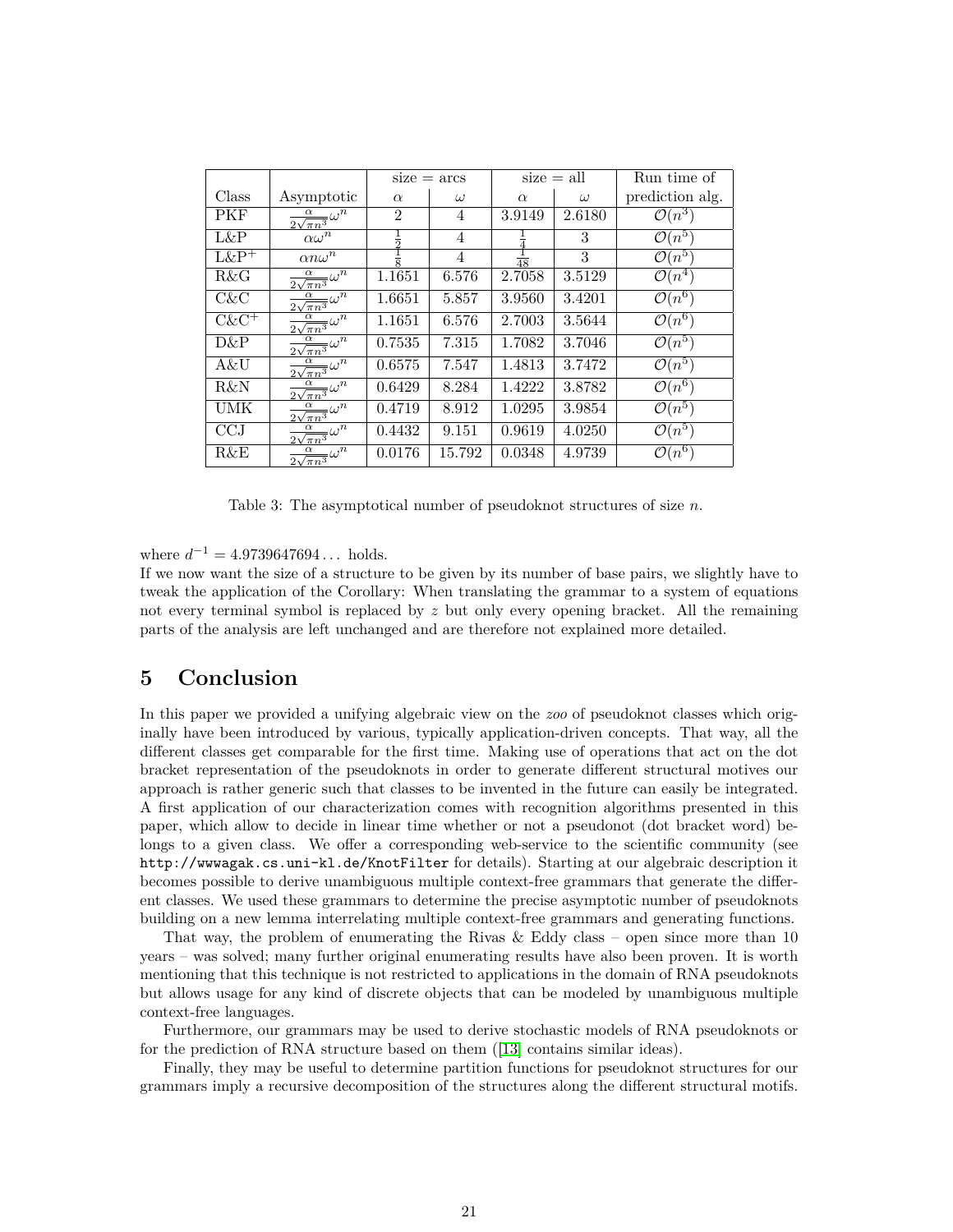|            |                                                  | $size = arcs$ |                | $size = all$   |          | Run time of        |
|------------|--------------------------------------------------|---------------|----------------|----------------|----------|--------------------|
| Class      | Asymptotic                                       | $\alpha$      | $\omega$       | $\alpha$       | $\omega$ | prediction alg.    |
| <b>PKF</b> | $\frac{\alpha}{2\sqrt{\pi n^3}}\omega^n$         | 2             | 4              | 3.9149         | 2.6180   | $\mathcal{O}(n^3)$ |
| L&P        | $\alpha \omega^n$                                | ラ             | 4              |                | 3        | $\mathcal{O}(n^5)$ |
| $L\&P^+$   | $\alpha n \omega^n$                              | $\frac{1}{8}$ | $\overline{4}$ | $\frac{1}{48}$ | 3        | $\mathcal{O}(n^5)$ |
| R&G        | $\frac{1}{2\sqrt{\pi n^3}}\omega^{\overline{n}}$ | 1.1651        | 6.576          | 2.7058         | 3.5129   | $\mathcal{O}(n^4)$ |
| $C\&C$     | $\frac{\alpha}{2\sqrt{\pi n^3}}\omega^n$         | 1.6651        | 5.857          | 3.9560         | 3.4201   | $\mathcal{O}(n^6)$ |
| $C\&C^+$   | $\frac{\alpha}{2\sqrt{\pi n^3}}\omega^n$         | 1.1651        | 6.576          | 2.7003         | 3.5644   | $\mathcal{O}(n^6)$ |
| D&P        | $\frac{\alpha}{2\sqrt{\pi n^3}}\omega^n$         | 0.7535        | 7.315          | 1.7082         | 3.7046   | $\mathcal{O}(n^5)$ |
| A&U        | $\frac{\alpha}{2\sqrt{\pi n^3}}\omega^n$         | 0.6575        | 7.547          | 1.4813         | 3.7472   | $\mathcal{O}(n^5)$ |
| R&N        | $\frac{\alpha}{2\sqrt{\pi n^3}}\omega^n$         | 0.6429        | 8.284          | 1.4222         | 3.8782   | $\mathcal{O}(n^6)$ |
| UMK        | $\frac{\alpha}{2\sqrt{\pi n^3}}\omega^n$         | 0.4719        | 8.912          | 1.0295         | 3.9854   | $\mathcal{O}(n^5)$ |
| CCJ        | $\frac{1}{2\sqrt{\pi n^3}}\omega^{\overline{n}}$ | 0.4432        | 9.151          | 0.9619         | 4.0250   | $\mathcal{O}(n^5)$ |
| R&E        | $\frac{\alpha}{\sqrt{\pi n^3}} \omega^n$         | 0.0176        | 15.792         | 0.0348         | 4.9739   | $\mathcal{O}(n^6)$ |

<span id="page-20-0"></span>Table 3: The asymptotical number of pseudoknot structures of size *n*.

where  $d^{-1} = 4.9739647694...$  holds.

If we now want the size of a structure to be given by its number of base pairs, we slightly have to tweak the application of the Corollary: When translating the grammar to a system of equations not every terminal symbol is replaced by *z* but only every opening bracket. All the remaining parts of the analysis are left unchanged and are therefore not explained more detailed.

# **5 Conclusion**

In this paper we provided a unifying algebraic view on the *zoo* of pseudoknot classes which originally have been introduced by various, typically application-driven concepts. That way, all the different classes get comparable for the first time. Making use of operations that act on the dot bracket representation of the pseudoknots in order to generate different structural motives our approach is rather generic such that classes to be invented in the future can easily be integrated. A first application of our characterization comes with recognition algorithms presented in this paper, which allow to decide in linear time whether or not a pseudonot (dot bracket word) belongs to a given class. We offer a corresponding web-service to the scientific community (see http://wwwagak.cs.uni-kl.de/KnotFilter for details). Starting at our algebraic description it becomes possible to derive unambiguous multiple context-free grammars that generate the different classes. We used these grammars to determine the precise asymptotic number of pseudoknots building on a new lemma interrelating multiple context-free grammars and generating functions.

That way, the problem of enumerating the Rivas & Eddy class – open since more than 10 years – was solved; many further original enumerating results have also been proven. It is worth mentioning that this technique is not restricted to applications in the domain of RNA pseudoknots but allows usage for any kind of discrete objects that can be modeled by unambiguous multiple context-free languages.

Furthermore, our grammars may be used to derive stochastic models of RNA pseudoknots or for the prediction of RNA structure based on them ([\[13\]](#page-21-7) contains similar ideas).

Finally, they may be useful to determine partition functions for pseudoknot structures for our grammars imply a recursive decomposition of the structures along the different structural motifs.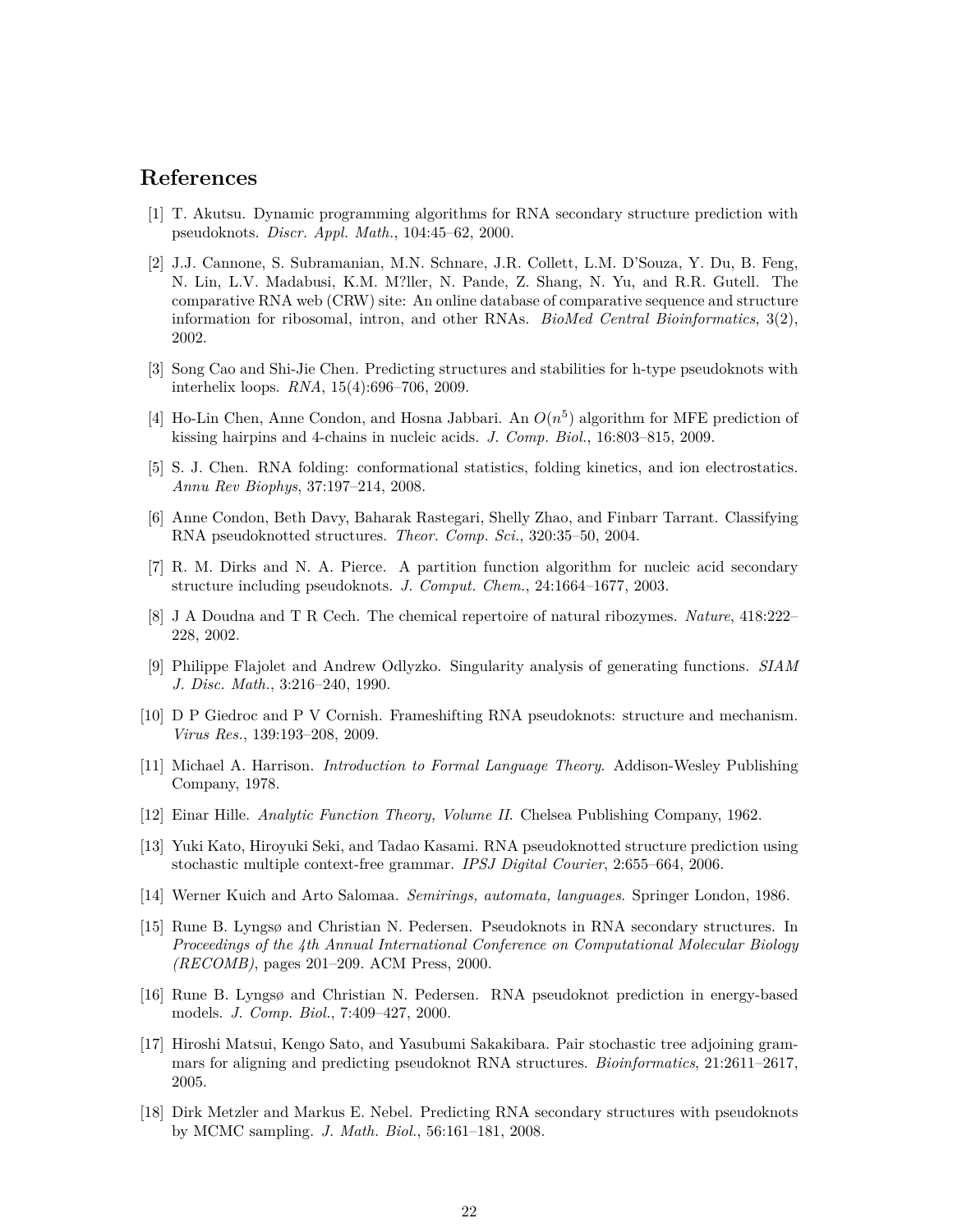# **References**

- <span id="page-21-2"></span>[1] T. Akutsu. Dynamic programming algorithms for RNA secondary structure prediction with pseudoknots. *Discr. Appl. Math.*, 104:45–62, 2000.
- <span id="page-21-13"></span>[2] J.J. Cannone, S. Subramanian, M.N. Schnare, J.R. Collett, L.M. D'Souza, Y. Du, B. Feng, N. Lin, L.V. Madabusi, K.M. M?ller, N. Pande, Z. Shang, N. Yu, and R.R. Gutell. The comparative RNA web (CRW) site: An online database of comparative sequence and structure information for ribosomal, intron, and other RNAs. *BioMed Central Bioinformatics*, 3(2), 2002.
- <span id="page-21-4"></span>[3] Song Cao and Shi-Jie Chen. Predicting structures and stabilities for h-type pseudoknots with interhelix loops. *RNA*, 15(4):696–706, 2009.
- <span id="page-21-5"></span>[4] Ho-Lin Chen, Anne Condon, and Hosna Jabbari. An  $O(n^5)$  algorithm for MFE prediction of kissing hairpins and 4-chains in nucleic acids. *J. Comp. Biol.*, 16:803–815, 2009.
- <span id="page-21-11"></span>[5] S. J. Chen. RNA folding: conformational statistics, folding kinetics, and ion electrostatics. *Annu Rev Biophys*, 37:197–214, 2008.
- <span id="page-21-10"></span>[6] Anne Condon, Beth Davy, Baharak Rastegari, Shelly Zhao, and Finbarr Tarrant. Classifying RNA pseudoknotted structures. *Theor. Comp. Sci.*, 320:35–50, 2004.
- <span id="page-21-6"></span>[7] R. M. Dirks and N. A. Pierce. A partition function algorithm for nucleic acid secondary structure including pseudoknots. *J. Comput. Chem.*, 24:1664–1677, 2003.
- <span id="page-21-0"></span>[8] J A Doudna and T R Cech. The chemical repertoire of natural ribozymes. *Nature*, 418:222– 228, 2002.
- <span id="page-21-17"></span>[9] Philippe Flajolet and Andrew Odlyzko. Singularity analysis of generating functions. *SIAM J. Disc. Math.*, 3:216–240, 1990.
- <span id="page-21-1"></span>[10] D P Giedroc and P V Cornish. Frameshifting RNA pseudoknots: structure and mechanism. *Virus Res.*, 139:193–208, 2009.
- <span id="page-21-14"></span>[11] Michael A. Harrison. *Introduction to Formal Language Theory*. Addison-Wesley Publishing Company, 1978.
- <span id="page-21-16"></span>[12] Einar Hille. *Analytic Function Theory, Volume II*. Chelsea Publishing Company, 1962.
- <span id="page-21-7"></span>[13] Yuki Kato, Hiroyuki Seki, and Tadao Kasami. RNA pseudoknotted structure prediction using stochastic multiple context-free grammar. *IPSJ Digital Courier*, 2:655–664, 2006.
- <span id="page-21-15"></span>[14] Werner Kuich and Arto Salomaa. *Semirings, automata, languages*. Springer London, 1986.
- <span id="page-21-8"></span>[15] Rune B. Lyngsø and Christian N. Pedersen. Pseudoknots in RNA secondary structures. In *Proceedings of the 4th Annual International Conference on Computational Molecular Biology (RECOMB)*, pages 201–209. ACM Press, 2000.
- <span id="page-21-3"></span>[16] Rune B. Lyngsø and Christian N. Pedersen. RNA pseudoknot prediction in energy-based models. *J. Comp. Biol.*, 7:409–427, 2000.
- <span id="page-21-9"></span>[17] Hiroshi Matsui, Kengo Sato, and Yasubumi Sakakibara. Pair stochastic tree adjoining grammars for aligning and predicting pseudoknot RNA structures. *Bioinformatics*, 21:2611–2617, 2005.
- <span id="page-21-12"></span>[18] Dirk Metzler and Markus E. Nebel. Predicting RNA secondary structures with pseudoknots by MCMC sampling. *J. Math. Biol.*, 56:161–181, 2008.